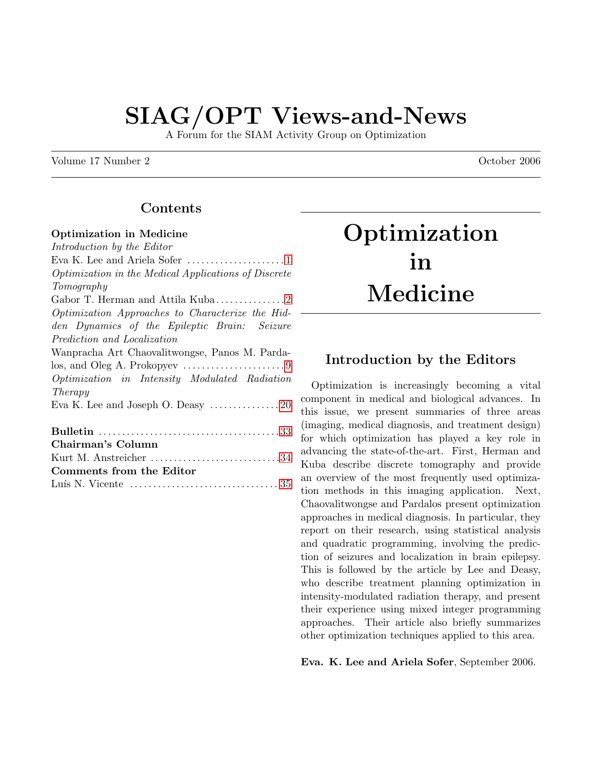# SIAG/OPT Views-and-News

A Forum for the SIAM Activity Group on Optimization

Volume 17 Number 2 **October 2006** 

# Contents

#### Optimization in Medicine

Introduction by the Editor Eva K. Lee and Ariela Sofer . . . . . . . . . . . . . . . . . . . . . [1](#page-0-0) Optimization in the Medical Applications of Discrete Tomography Gabor T. Herman and Attila Kuba. . . . . . . . . . . . . . . [2](#page-1-0) Optimization Approaches to Characterize the Hidden Dynamics of the Epileptic Brain: Seizure Prediction and Localization Wanpracha Art Chaovalitwongse, Panos M. Parda- $\log$ , and Oleg A. Prokopyev  $\dots \dots \dots \dots \dots \dots \dots$ Optimization in Intensity Modulated Radiation Therapy Eva K. Lee and Joseph O. Deasy  $\dots\dots\dots\dots 20$  $\dots\dots\dots\dots 20$ Bulletin . . . . . . . . . . . . . . . . . . . . . . . . . . . . . . . . . . . . . . . [33](#page-32-0) Chairman's Column Kurt M. Anstreicher .................................[34](#page-33-0) Comments from the Editor

Lu´ıs N. Vicente . . . . . . . . . . . . . . . . . . . . . . . . . . . . . . . . [35](#page-34-0)

**Optimization** in Medicine

# <span id="page-0-0"></span>Introduction by the Editors

Optimization is increasingly becoming a vital component in medical and biological advances. In this issue, we present summaries of three areas (imaging, medical diagnosis, and treatment design) for which optimization has played a key role in advancing the state-of-the-art. First, Herman and Kuba describe discrete tomography and provide an overview of the most frequently used optimization methods in this imaging application. Next, Chaovalitwongse and Pardalos present optimization approaches in medical diagnosis. In particular, they report on their research, using statistical analysis and quadratic programming, involving the prediction of seizures and localization in brain epilepsy. This is followed by the article by Lee and Deasy, who describe treatment planning optimization in intensity-modulated radiation therapy, and present their experience using mixed integer programming approaches. Their article also briefly summarizes other optimization techniques applied to this area.

Eva. K. Lee and Ariela Sofer, September 2006.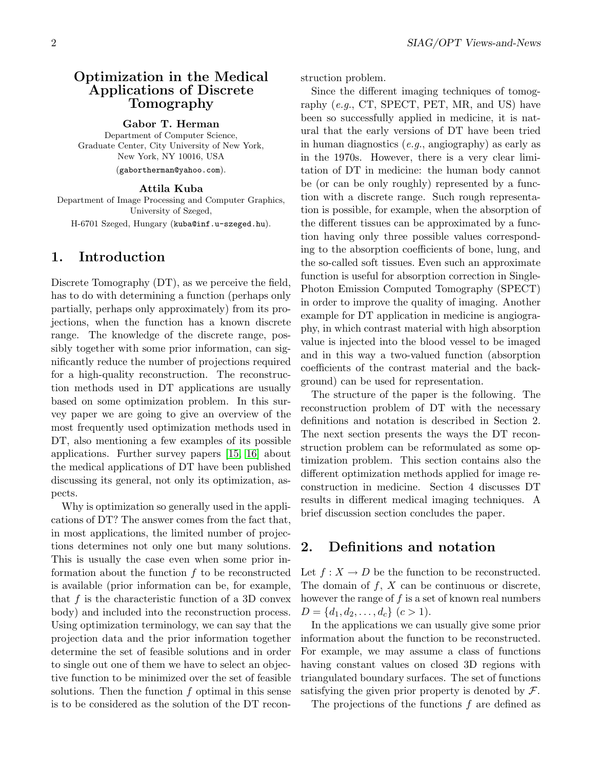# <span id="page-1-0"></span>Optimization in the Medical Applications of Discrete Tomography

Gabor T. Herman

Department of Computer Science, Graduate Center, City University of New York, New York, NY 10016, USA (gabortherman@yahoo.com).

#### Attila Kuba

Department of Image Processing and Computer Graphics, University of Szeged,

H-6701 Szeged, Hungary (kuba@inf.u-szeged.hu).

# 1. Introduction

Discrete Tomography (DT), as we perceive the field, has to do with determining a function (perhaps only partially, perhaps only approximately) from its projections, when the function has a known discrete range. The knowledge of the discrete range, possibly together with some prior information, can significantly reduce the number of projections required for a high-quality reconstruction. The reconstruction methods used in DT applications are usually based on some optimization problem. In this survey paper we are going to give an overview of the most frequently used optimization methods used in DT, also mentioning a few examples of its possible applications. Further survey papers [\[15,](#page-7-0) [16\]](#page-7-1) about the medical applications of DT have been published discussing its general, not only its optimization, aspects.

Why is optimization so generally used in the applications of DT? The answer comes from the fact that, in most applications, the limited number of projections determines not only one but many solutions. This is usually the case even when some prior information about the function  $f$  to be reconstructed is available (prior information can be, for example, that  $f$  is the characteristic function of a 3D convex body) and included into the reconstruction process. Using optimization terminology, we can say that the projection data and the prior information together determine the set of feasible solutions and in order to single out one of them we have to select an objective function to be minimized over the set of feasible solutions. Then the function  $f$  optimal in this sense is to be considered as the solution of the DT reconstruction problem.

Since the different imaging techniques of tomography  $(e.g., CT, SPECT, PET, MR, and US)$  have been so successfully applied in medicine, it is natural that the early versions of DT have been tried in human diagnostics (e.g., angiography) as early as in the 1970s. However, there is a very clear limitation of DT in medicine: the human body cannot be (or can be only roughly) represented by a function with a discrete range. Such rough representation is possible, for example, when the absorption of the different tissues can be approximated by a function having only three possible values corresponding to the absorption coefficients of bone, lung, and the so-called soft tissues. Even such an approximate function is useful for absorption correction in Single-Photon Emission Computed Tomography (SPECT) in order to improve the quality of imaging. Another example for DT application in medicine is angiography, in which contrast material with high absorption value is injected into the blood vessel to be imaged and in this way a two-valued function (absorption coefficients of the contrast material and the background) can be used for representation.

The structure of the paper is the following. The reconstruction problem of DT with the necessary definitions and notation is described in Section 2. The next section presents the ways the DT reconstruction problem can be reformulated as some optimization problem. This section contains also the different optimization methods applied for image reconstruction in medicine. Section 4 discusses DT results in different medical imaging techniques. A brief discussion section concludes the paper.

# 2. Definitions and notation

Let  $f: X \to D$  be the function to be reconstructed. The domain of  $f, X$  can be continuous or discrete, however the range of  $f$  is a set of known real numbers  $D = \{d_1, d_2, \ldots, d_c\} \ (c > 1).$ 

In the applications we can usually give some prior information about the function to be reconstructed. For example, we may assume a class of functions having constant values on closed 3D regions with triangulated boundary surfaces. The set of functions satisfying the given prior property is denoted by  $\mathcal{F}$ .

The projections of the functions  $f$  are defined as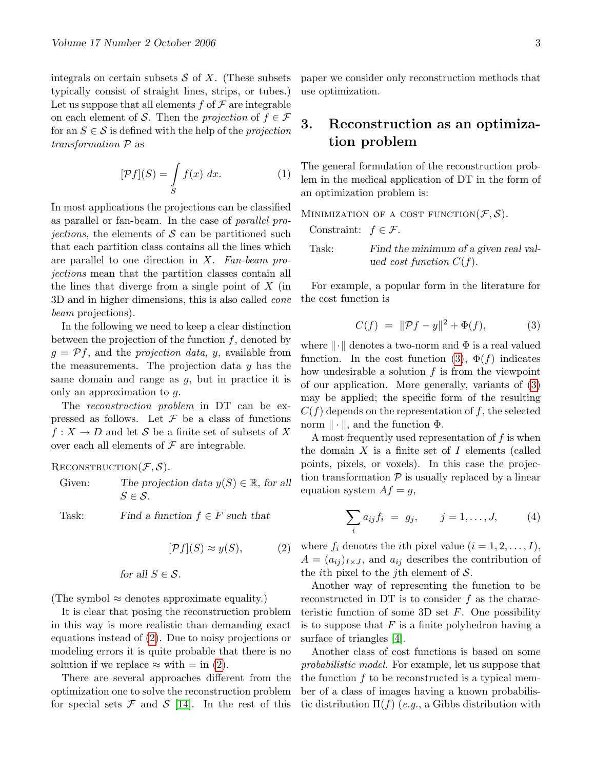integrals on certain subsets  $S$  of  $X$ . (These subsets typically consist of straight lines, strips, or tubes.) Let us suppose that all elements  $f$  of  $\mathcal F$  are integrable on each element of S. Then the projection of  $f \in \mathcal{F}$ for an  $S \in \mathcal{S}$  is defined with the help of the projection transformation P as

<span id="page-2-3"></span>
$$
[\mathcal{P}f](S) = \int\limits_{S} f(x) \, dx. \tag{1}
$$

In most applications the projections can be classified as parallel or fan-beam. In the case of parallel pro*jections*, the elements of  $S$  can be partitioned such that each partition class contains all the lines which are parallel to one direction in  $X$ . Fan-beam projections mean that the partition classes contain all the lines that diverge from a single point of  $X$  (in 3D and in higher dimensions, this is also called cone beam projections).

In the following we need to keep a clear distinction between the projection of the function  $f$ , denoted by  $g = Pf$ , and the *projection data*, y, available from the measurements. The projection data  $y$  has the same domain and range as  $g$ , but in practice it is only an approximation to g.

The reconstruction problem in DT can be expressed as follows. Let  $\mathcal F$  be a class of functions  $f: X \to D$  and let S be a finite set of subsets of X over each all elements of  $\mathcal F$  are integrable.

RECONSTRUCTION $(F, S)$ .

Given: The projection data  $y(S) \in \mathbb{R}$ , for all  $S \in \mathcal{S}$ .

Task: Find a function  $f \in F$  such that

<span id="page-2-0"></span>
$$
[\mathcal{P}f](S) \approx y(S),\tag{2}
$$

for all  $S \in \mathcal{S}$ .

(The symbol  $\approx$  denotes approximate equality.)

It is clear that posing the reconstruction problem in this way is more realistic than demanding exact equations instead of [\(2\)](#page-2-0). Due to noisy projections or modeling errors it is quite probable that there is no solution if we replace  $\approx$  with  $=$  in [\(2\)](#page-2-0).

There are several approaches different from the optimization one to solve the reconstruction problem for special sets  $\mathcal F$  and  $\mathcal S$  [\[14\]](#page-7-2). In the rest of this paper we consider only reconstruction methods that use optimization.

# 3. Reconstruction as an optimization problem

The general formulation of the reconstruction problem in the medical application of DT in the form of an optimization problem is:

MINIMIZATION OF A COST FUNCTION $(\mathcal{F}, \mathcal{S})$ . Constraint:  $f \in \mathcal{F}$ . Task: Find the minimum of a given real valued cost function  $C(f)$ .

For example, a popular form in the literature for the cost function is

<span id="page-2-1"></span>
$$
C(f) \ = \ \|\mathcal{P}f - y\|^2 + \Phi(f), \tag{3}
$$

where  $\|\cdot\|$  denotes a two-norm and  $\Phi$  is a real valued function. In the cost function [\(3\)](#page-2-1),  $\Phi(f)$  indicates how undesirable a solution  $f$  is from the viewpoint of our application. More generally, variants of [\(3\)](#page-2-1) may be applied; the specific form of the resulting  $C(f)$  depends on the representation of f, the selected norm  $\|\cdot\|$ , and the function  $\Phi$ .

A most frequently used representation of  $f$  is when the domain  $X$  is a finite set of  $I$  elements (called points, pixels, or voxels). In this case the projection transformation  $P$  is usually replaced by a linear equation system  $Af = g$ ,

<span id="page-2-2"></span>
$$
\sum_{i} a_{ij} f_i = g_j, \qquad j = 1, ..., J,
$$
 (4)

where  $f_i$  denotes the *i*th pixel value  $(i = 1, 2, \ldots, I)$ ,  $A = (a_{ij})_{I \times J}$ , and  $a_{ij}$  describes the contribution of the *i*th pixel to the *j*th element of  $S$ .

Another way of representing the function to be reconstructed in DT is to consider  $f$  as the characteristic function of some 3D set  $F$ . One possibility is to suppose that  $F$  is a finite polyhedron having a surface of triangles [\[4\]](#page-6-0).

Another class of cost functions is based on some probabilistic model. For example, let us suppose that the function  $f$  to be reconstructed is a typical member of a class of images having a known probabilistic distribution  $\Pi(f)$  (e.g., a Gibbs distribution with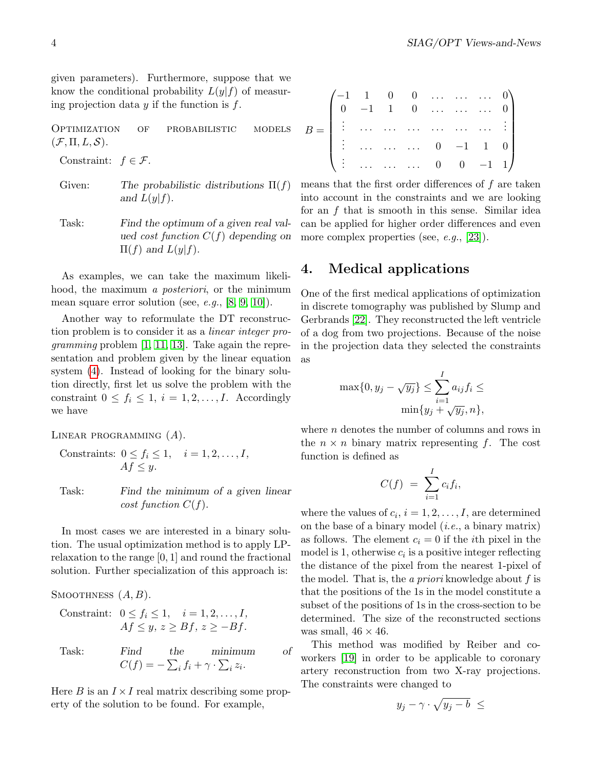given parameters). Furthermore, suppose that we know the conditional probability  $L(y|f)$  of measuring projection data  $y$  if the function is  $f$ .

Optimization of probabilistic models  $(\mathcal{F}, \Pi, L, \mathcal{S}).$ 

Constraint:  $f \in \mathcal{F}$ .

- Given: The probabilistic distributions  $\Pi(f)$ and  $L(y|f)$ .
- Task: Find the optimum of a given real valued cost function  $C(f)$  depending on  $\Pi(f)$  and  $L(y|f)$ .

As examples, we can take the maximum likelihood, the maximum a posteriori, or the minimum mean square error solution (see,  $e.g., [8, 9, 10]$  $e.g., [8, 9, 10]$  $e.g., [8, 9, 10]$  $e.g., [8, 9, 10]$ ).

Another way to reformulate the DT reconstruction problem is to consider it as a linear integer pro*gramming* problem  $[1, 11, 13]$  $[1, 11, 13]$  $[1, 11, 13]$ . Take again the representation and problem given by the linear equation system [\(4\)](#page-2-2). Instead of looking for the binary solution directly, first let us solve the problem with the constraint  $0 \leq f_i \leq 1, i = 1, 2, \ldots, I$ . Accordingly we have

LINEAR PROGRAMMING  $(A)$ .

Constraints:  $0 \leq f_i \leq 1, \quad i = 1, 2, \ldots, I$ ,  $Af \leq y.$ 

Task: Find the minimum of a given linear cost function  $C(f)$ .

In most cases we are interested in a binary solution. The usual optimization method is to apply LPrelaxation to the range [0, 1] and round the fractional solution. Further specialization of this approach is:

SMOOTHNESS  $(A, B)$ .

Constraint:  $0 \leq f_i \leq 1, \quad i = 1, 2, \ldots, I$ ,  $Af \leq y, z \geq Bf, z \geq -Bf$ .

Task: Find the minimum of  $C(f) = -\sum_i f_i + \gamma \cdot \sum_i z_i.$ 

Here B is an  $I \times I$  real matrix describing some property of the solution to be found. For example,

<span id="page-3-0"></span>

| $B = \begin{pmatrix} -1 & 1 & 0 & 0 & \cdots & \cdots & \cdots & 0 \\ 0 & -1 & 1 & 0 & \cdots & \cdots & \cdots & 0 \\ \vdots & \cdots & \cdots & \cdots & \cdots & \cdots & \cdots & \vdots \end{pmatrix}$ |  |  |                                                                                 |  |
|-------------------------------------------------------------------------------------------------------------------------------------------------------------------------------------------------------------|--|--|---------------------------------------------------------------------------------|--|
|                                                                                                                                                                                                             |  |  | $\begin{bmatrix} \vdots & \dots & \dots & \dots & 0 & -1 & 1 & 0 \end{bmatrix}$ |  |
|                                                                                                                                                                                                             |  |  | $\begin{pmatrix} \vdots & \dots & \dots & \dots & 0 & 0 & -1 & 1 \end{pmatrix}$ |  |

means that the first order differences of f are taken into account in the constraints and we are looking for an f that is smooth in this sense. Similar idea can be applied for higher order differences and even more complex properties (see, *e.g.*, [\[23\]](#page-7-4)).

# 4. Medical applications

One of the first medical applications of optimization in discrete tomography was published by Slump and Gerbrands [\[22\]](#page-7-5). They reconstructed the left ventricle of a dog from two projections. Because of the noise in the projection data they selected the constraints as

$$
\max\{0, y_j - \sqrt{y_j}\} \le \sum_{i=1}^I a_{ij} f_i \le
$$

$$
\min\{y_j + \sqrt{y_j}, n\},\
$$

where  $n$  denotes the number of columns and rows in the  $n \times n$  binary matrix representing f. The cost function is defined as

$$
C(f) = \sum_{i=1}^{I} c_i f_i,
$$

where the values of  $c_i$ ,  $i = 1, 2, ..., I$ , are determined on the base of a binary model (i.e., a binary matrix) as follows. The element  $c_i = 0$  if the *i*th pixel in the model is 1, otherwise  $c_i$  is a positive integer reflecting the distance of the pixel from the nearest 1-pixel of the model. That is, the a priori knowledge about  $f$  is that the positions of the 1s in the model constitute a subset of the positions of 1s in the cross-section to be determined. The size of the reconstructed sections was small,  $46 \times 46$ .

This method was modified by Reiber and coworkers [\[19\]](#page-7-6) in order to be applicable to coronary artery reconstruction from two X-ray projections. The constraints were changed to

$$
y_j - \gamma \cdot \sqrt{y_j - b} \le
$$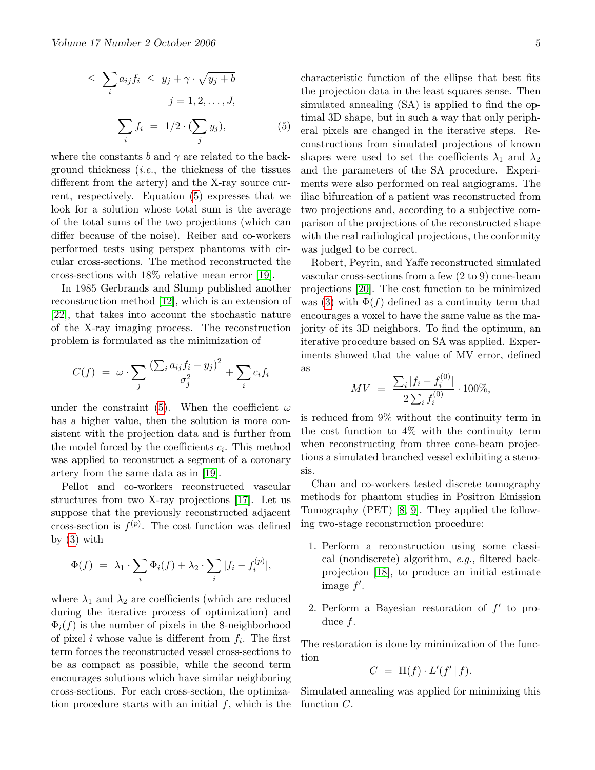$$
\leq \sum_{i} a_{ij} f_i \leq y_j + \gamma \cdot \sqrt{y_j + b}
$$

$$
j = 1, 2, \dots, J,
$$

$$
\sum_{i} f_i = 1/2 \cdot (\sum_j y_j), \tag{5}
$$

where the constants b and  $\gamma$  are related to the background thickness  $(i.e.,$  the thickness of the tissues different from the artery) and the X-ray source current, respectively. Equation [\(5\)](#page-3-0) expresses that we look for a solution whose total sum is the average of the total sums of the two projections (which can differ because of the noise). Reiber and co-workers performed tests using perspex phantoms with circular cross-sections. The method reconstructed the cross-sections with 18% relative mean error [\[19\]](#page-7-6).

In 1985 Gerbrands and Slump published another reconstruction method [\[12\]](#page-7-7), which is an extension of [\[22\]](#page-7-5), that takes into account the stochastic nature of the X-ray imaging process. The reconstruction problem is formulated as the minimization of

$$
C(f) = \omega \cdot \sum_{j} \frac{\left(\sum_{i} a_{ij} f_i - y_j\right)^2}{\sigma_j^2} + \sum_{i} c_i f_i
$$

under the constraint [\(5\)](#page-3-0). When the coefficient  $\omega$ has a higher value, then the solution is more consistent with the projection data and is further from the model forced by the coefficients  $c_i$ . This method was applied to reconstruct a segment of a coronary artery from the same data as in [\[19\]](#page-7-6).

Pellot and co-workers reconstructed vascular structures from two X-ray projections [\[17\]](#page-7-8). Let us suppose that the previously reconstructed adjacent cross-section is  $f^{(p)}$ . The cost function was defined by  $(3)$  with

$$
\Phi(f) = \lambda_1 \cdot \sum_i \Phi_i(f) + \lambda_2 \cdot \sum_i |f_i - f_i^{(p)}|,
$$

where  $\lambda_1$  and  $\lambda_2$  are coefficients (which are reduced during the iterative process of optimization) and  $\Phi_i(f)$  is the number of pixels in the 8-neighborhood of pixel i whose value is different from  $f_i$ . The first term forces the reconstructed vessel cross-sections to be as compact as possible, while the second term encourages solutions which have similar neighboring cross-sections. For each cross-section, the optimization procedure starts with an initial  $f$ , which is the characteristic function of the ellipse that best fits the projection data in the least squares sense. Then simulated annealing (SA) is applied to find the optimal 3D shape, but in such a way that only peripheral pixels are changed in the iterative steps. Reconstructions from simulated projections of known shapes were used to set the coefficients  $\lambda_1$  and  $\lambda_2$ and the parameters of the SA procedure. Experiments were also performed on real angiograms. The iliac bifurcation of a patient was reconstructed from two projections and, according to a subjective comparison of the projections of the reconstructed shape with the real radiological projections, the conformity was judged to be correct.

Robert, Peyrin, and Yaffe reconstructed simulated vascular cross-sections from a few (2 to 9) cone-beam projections [\[20\]](#page-7-9). The cost function to be minimized was [\(3\)](#page-2-1) with  $\Phi(f)$  defined as a continuity term that encourages a voxel to have the same value as the majority of its 3D neighbors. To find the optimum, an iterative procedure based on SA was applied. Experiments showed that the value of MV error, defined as

$$
MV = \frac{\sum_{i} |f_i - f_i^{(0)}|}{2 \sum_{i} f_i^{(0)}} \cdot 100\%,
$$

is reduced from 9% without the continuity term in the cost function to 4% with the continuity term when reconstructing from three cone-beam projections a simulated branched vessel exhibiting a stenosis.

Chan and co-workers tested discrete tomography methods for phantom studies in Positron Emission Tomography (PET) [\[8,](#page-6-1) [9\]](#page-6-2). They applied the following two-stage reconstruction procedure:

- 1. Perform a reconstruction using some classical (nondiscrete) algorithm, e.g., filtered backprojection [\[18\]](#page-7-10), to produce an initial estimate image  $f'$ .
- 2. Perform a Bayesian restoration of  $f'$  to produce f.

The restoration is done by minimization of the function

$$
C = \Pi(f) \cdot L'(f' | f).
$$

Simulated annealing was applied for minimizing this function C.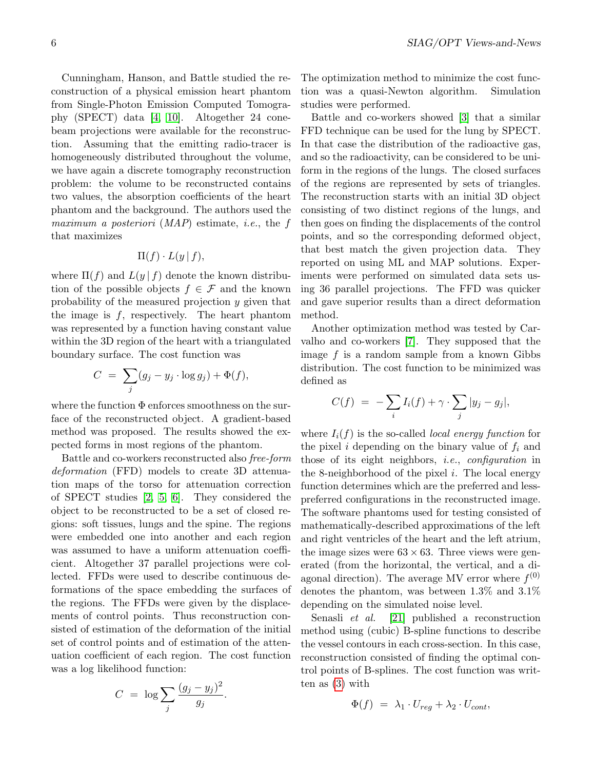Cunningham, Hanson, and Battle studied the reconstruction of a physical emission heart phantom from Single-Photon Emission Computed Tomography (SPECT) data [\[4,](#page-6-0) [10\]](#page-6-3). Altogether 24 conebeam projections were available for the reconstruction. Assuming that the emitting radio-tracer is homogeneously distributed throughout the volume, we have again a discrete tomography reconstruction problem: the volume to be reconstructed contains two values, the absorption coefficients of the heart phantom and the background. The authors used the maximum a posteriori (MAP) estimate, *i.e.*, the f that maximizes

$$
\Pi(f) \cdot L(y \mid f),
$$

where  $\Pi(f)$  and  $L(y \mid f)$  denote the known distribution of the possible objects  $f \in \mathcal{F}$  and the known probability of the measured projection y given that the image is  $f$ , respectively. The heart phantom was represented by a function having constant value within the 3D region of the heart with a triangulated boundary surface. The cost function was

$$
C = \sum_j (g_j - y_j \cdot \log g_j) + \Phi(f),
$$

where the function Φ enforces smoothness on the surface of the reconstructed object. A gradient-based method was proposed. The results showed the expected forms in most regions of the phantom.

Battle and co-workers reconstructed also free-form deformation (FFD) models to create 3D attenuation maps of the torso for attenuation correction of SPECT studies [\[2,](#page-6-6) [5,](#page-6-7) [6\]](#page-6-8). They considered the object to be reconstructed to be a set of closed regions: soft tissues, lungs and the spine. The regions were embedded one into another and each region was assumed to have a uniform attenuation coefficient. Altogether 37 parallel projections were collected. FFDs were used to describe continuous deformations of the space embedding the surfaces of the regions. The FFDs were given by the displacements of control points. Thus reconstruction consisted of estimation of the deformation of the initial set of control points and of estimation of the attenuation coefficient of each region. The cost function was a log likelihood function:

$$
C = \log \sum_{j} \frac{(g_j - y_j)^2}{g_j}
$$

.

The optimization method to minimize the cost function was a quasi-Newton algorithm. Simulation studies were performed.

Battle and co-workers showed [\[3\]](#page-6-9) that a similar FFD technique can be used for the lung by SPECT. In that case the distribution of the radioactive gas, and so the radioactivity, can be considered to be uniform in the regions of the lungs. The closed surfaces of the regions are represented by sets of triangles. The reconstruction starts with an initial 3D object consisting of two distinct regions of the lungs, and then goes on finding the displacements of the control points, and so the corresponding deformed object, that best match the given projection data. They reported on using ML and MAP solutions. Experiments were performed on simulated data sets using 36 parallel projections. The FFD was quicker and gave superior results than a direct deformation method.

Another optimization method was tested by Carvalho and co-workers [\[7\]](#page-6-10). They supposed that the image f is a random sample from a known Gibbs distribution. The cost function to be minimized was defined as

$$
C(f) = -\sum_i I_i(f) + \gamma \cdot \sum_j |y_j - g_j|,
$$

where  $I_i(f)$  is the so-called *local energy function* for the pixel i depending on the binary value of  $f_i$  and those of its eight neighbors, i.e., configuration in the 8-neighborhood of the pixel  $i$ . The local energy function determines which are the preferred and lesspreferred configurations in the reconstructed image. The software phantoms used for testing consisted of mathematically-described approximations of the left and right ventricles of the heart and the left atrium, the image sizes were  $63 \times 63$ . Three views were generated (from the horizontal, the vertical, and a diagonal direction). The average MV error where  $f^{(0)}$ denotes the phantom, was between 1.3% and 3.1% depending on the simulated noise level.

Senasli et al. [\[21\]](#page-7-11) published a reconstruction method using (cubic) B-spline functions to describe the vessel contours in each cross-section. In this case, reconstruction consisted of finding the optimal control points of B-splines. The cost function was written as [\(3\)](#page-2-1) with

$$
\Phi(f) = \lambda_1 \cdot U_{reg} + \lambda_2 \cdot U_{cont},
$$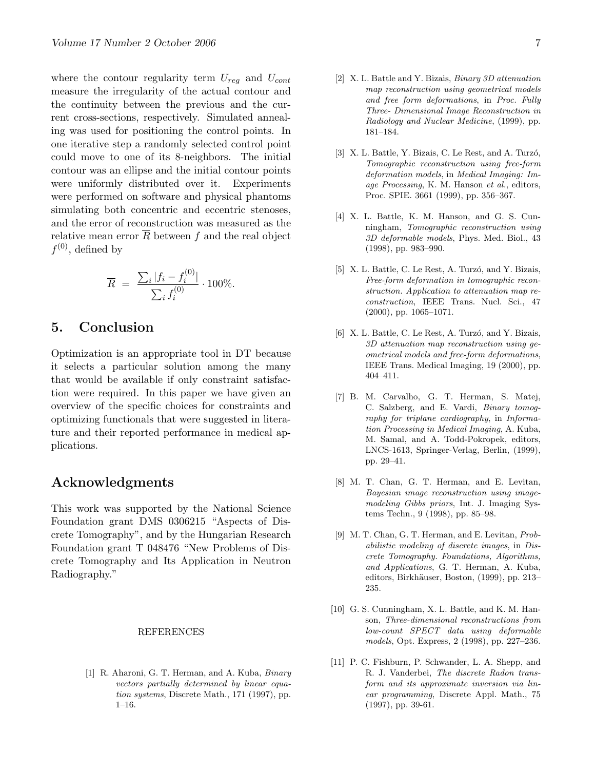where the contour regularity term  $U_{req}$  and  $U_{cont}$ measure the irregularity of the actual contour and the continuity between the previous and the current cross-sections, respectively. Simulated annealing was used for positioning the control points. In one iterative step a randomly selected control point could move to one of its 8-neighbors. The initial contour was an ellipse and the initial contour points were uniformly distributed over it. Experiments were performed on software and physical phantoms simulating both concentric and eccentric stenoses, and the error of reconstruction was measured as the relative mean error  $\overline{R}$  between f and the real object  $f^{(0)}$ , defined by

$$
\overline{R} = \frac{\sum_{i} |f_i - f_i^{(0)}|}{\sum_{i} f_i^{(0)}} \cdot 100\%.
$$

# 5. Conclusion

Optimization is an appropriate tool in DT because it selects a particular solution among the many that would be available if only constraint satisfaction were required. In this paper we have given an overview of the specific choices for constraints and optimizing functionals that were suggested in literature and their reported performance in medical applications.

# Acknowledgments

This work was supported by the National Science Foundation grant DMS 0306215 "Aspects of Discrete Tomography", and by the Hungarian Research Foundation grant T 048476 "New Problems of Discrete Tomography and Its Application in Neutron Radiography."

#### REFERENCES

<span id="page-6-4"></span>[1] R. Aharoni, G. T. Herman, and A. Kuba, Binary vectors partially determined by linear equation systems, Discrete Math., 171 (1997), pp. 1–16.

- <span id="page-6-6"></span>[2] X. L. Battle and Y. Bizais, Binary 3D attenuation map reconstruction using geometrical models and free form deformations, in Proc. Fully Three- Dimensional Image Reconstruction in Radiology and Nuclear Medicine, (1999), pp. 181–184.
- <span id="page-6-9"></span>[3] X. L. Battle, Y. Bizais, C. Le Rest, and A. Turzó, Tomographic reconstruction using free-form deformation models, in Medical Imaging: Image Processing, K. M. Hanson et al., editors, Proc. SPIE. 3661 (1999), pp. 356–367.
- <span id="page-6-0"></span>[4] X. L. Battle, K. M. Hanson, and G. S. Cunningham, Tomographic reconstruction using 3D deformable models, Phys. Med. Biol., 43 (1998), pp. 983–990.
- <span id="page-6-7"></span>[5] X. L. Battle, C. Le Rest, A. Turzó, and Y. Bizais, Free-form deformation in tomographic reconstruction. Application to attenuation map reconstruction, IEEE Trans. Nucl. Sci., 47 (2000), pp. 1065–1071.
- <span id="page-6-8"></span> $[6]$  X. L. Battle, C. Le Rest, A. Turzó, and Y. Bizais, 3D attenuation map reconstruction using geometrical models and free-form deformations, IEEE Trans. Medical Imaging, 19 (2000), pp. 404–411.
- <span id="page-6-10"></span>[7] B. M. Carvalho, G. T. Herman, S. Matej, C. Salzberg, and E. Vardi, Binary tomography for triplane cardiography, in Information Processing in Medical Imaging, A. Kuba, M. Samal, and A. Todd-Pokropek, editors, LNCS-1613, Springer-Verlag, Berlin, (1999), pp. 29–41.
- <span id="page-6-1"></span>[8] M. T. Chan, G. T. Herman, and E. Levitan, Bayesian image reconstruction using imagemodeling Gibbs priors, Int. J. Imaging Systems Techn., 9 (1998), pp. 85–98.
- <span id="page-6-2"></span>[9] M. T. Chan, G. T. Herman, and E. Levitan, Probabilistic modeling of discrete images, in Discrete Tomography. Foundations, Algorithms, and Applications, G. T. Herman, A. Kuba, editors, Birkhäuser, Boston, (1999), pp. 213– 235.
- <span id="page-6-3"></span>[10] G. S. Cunningham, X. L. Battle, and K. M. Hanson, Three-dimensional reconstructions from low-count SPECT data using deformable models, Opt. Express, 2 (1998), pp. 227–236.
- <span id="page-6-5"></span>[11] P. C. Fishburn, P. Schwander, L. A. Shepp, and R. J. Vanderbei, The discrete Radon transform and its approximate inversion via linear programming, Discrete Appl. Math., 75 (1997), pp. 39-61.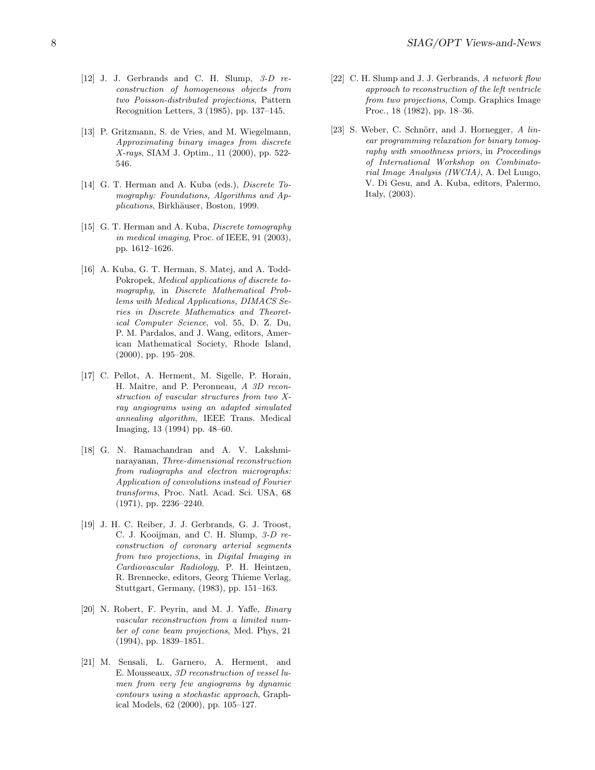- <span id="page-7-7"></span>[12] J. J. Gerbrands and C. H. Slump, 3-D reconstruction of homogeneous objects from two Poisson-distributed projections, Pattern Recognition Letters, 3 (1985), pp. 137–145.
- <span id="page-7-3"></span>[13] P. Gritzmann, S. de Vries, and M. Wiegelmann, Approximating binary images from discrete X-rays, SIAM J. Optim., 11 (2000), pp. 522- 546.
- <span id="page-7-2"></span>[14] G. T. Herman and A. Kuba (eds.), *Discrete To*mography: Foundations, Algorithms and Applications, Birkhäuser, Boston, 1999.
- <span id="page-7-0"></span>[15] G. T. Herman and A. Kuba, *Discrete tomography* in medical imaging, Proc. of IEEE, 91 (2003), pp. 1612–1626.
- <span id="page-7-1"></span>[16] A. Kuba, G. T. Herman, S. Matej, and A. Todd-Pokropek, Medical applications of discrete tomography, in Discrete Mathematical Problems with Medical Applications, DIMACS Series in Discrete Mathematics and Theoretical Computer Science, vol. 55, D. Z. Du, P. M. Pardalos, and J. Wang, editors, American Mathematical Society, Rhode Island, (2000), pp. 195–208.
- <span id="page-7-8"></span>[17] C. Pellot, A. Herment, M. Sigelle, P. Horain, H. Maitre, and P. Peronneau, A 3D reconstruction of vascular structures from two Xray angiograms using an adapted simulated annealing algorithm, IEEE Trans. Medical Imaging, 13 (1994) pp. 48–60.
- <span id="page-7-10"></span>[18] G. N. Ramachandran and A. V. Lakshminarayanan, Three-dimensional reconstruction from radiographs and electron micrographs: Application of convolutions instead of Fourier transforms, Proc. Natl. Acad. Sci. USA, 68 (1971), pp. 2236–2240.
- <span id="page-7-6"></span>[19] J. H. C. Reiber, J. J. Gerbrands, G. J. Troost, C. J. Kooijman, and C. H. Slump, 3-D reconstruction of coronary arterial segments from two projections, in Digital Imaging in Cardiovascular Radiology, P. H. Heintzen, R. Brennecke, editors, Georg Thieme Verlag, Stuttgart, Germany, (1983), pp. 151–163.
- <span id="page-7-9"></span>[20] N. Robert, F. Peyrin, and M. J. Yaffe, Binary vascular reconstruction from a limited number of cone beam projections, Med. Phys, 21 (1994), pp. 1839–1851.
- <span id="page-7-11"></span>[21] M. Sensali, L. Garnero, A. Herment, and E. Mousseaux, 3D reconstruction of vessel lumen from very few angiograms by dynamic contours using a stochastic approach, Graphical Models, 62 (2000), pp. 105–127.
- <span id="page-7-5"></span>[22] C. H. Slump and J. J. Gerbrands, A network flow approach to reconstruction of the left ventricle from two projections, Comp. Graphics Image Proc., 18 (1982), pp. 18–36.
- <span id="page-7-4"></span>[23] S. Weber, C. Schnörr, and J. Hornegger,  $A$  linear programming relaxation for binary tomography with smoothness priors, in Proceedings of International Workshop on Combinatorial Image Analysis (IWCIA), A. Del Lungo, V. Di Gesu, and A. Kuba, editors, Palermo, Italy, (2003).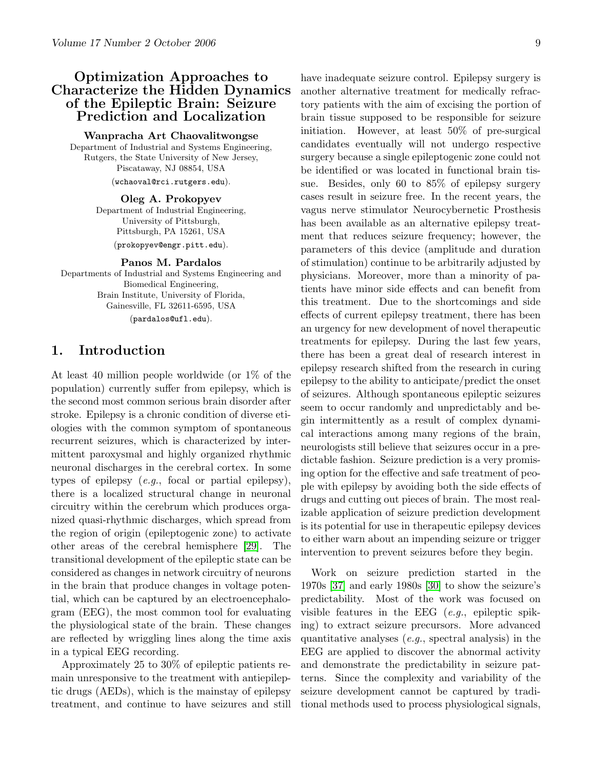# <span id="page-8-0"></span>Optimization Approaches to Characterize the Hidden Dynamics of the Epileptic Brain: Seizure Prediction and Localization

Wanpracha Art Chaovalitwongse Department of Industrial and Systems Engineering, Rutgers, the State University of New Jersey, Piscataway, NJ 08854, USA (wchaoval@rci.rutgers.edu).

> Oleg A. Prokopyev Department of Industrial Engineering, University of Pittsburgh, Pittsburgh, PA 15261, USA (prokopyev@engr.pitt.edu).

> > Panos M. Pardalos

Departments of Industrial and Systems Engineering and Biomedical Engineering, Brain Institute, University of Florida, Gainesville, FL 32611-6595, USA (pardalos@ufl.edu).

### 1. Introduction

At least 40 million people worldwide (or 1% of the population) currently suffer from epilepsy, which is the second most common serious brain disorder after stroke. Epilepsy is a chronic condition of diverse etiologies with the common symptom of spontaneous recurrent seizures, which is characterized by intermittent paroxysmal and highly organized rhythmic neuronal discharges in the cerebral cortex. In some types of epilepsy  $(e.g.,$  focal or partial epilepsy), there is a localized structural change in neuronal circuitry within the cerebrum which produces organized quasi-rhythmic discharges, which spread from the region of origin (epileptogenic zone) to activate other areas of the cerebral hemisphere [\[29\]](#page-18-0). The transitional development of the epileptic state can be considered as changes in network circuitry of neurons in the brain that produce changes in voltage potential, which can be captured by an electroencephalogram (EEG), the most common tool for evaluating the physiological state of the brain. These changes are reflected by wriggling lines along the time axis in a typical EEG recording.

Approximately 25 to 30% of epileptic patients remain unresponsive to the treatment with antiepileptic drugs (AEDs), which is the mainstay of epilepsy treatment, and continue to have seizures and still have inadequate seizure control. Epilepsy surgery is another alternative treatment for medically refractory patients with the aim of excising the portion of brain tissue supposed to be responsible for seizure initiation. However, at least 50% of pre-surgical candidates eventually will not undergo respective surgery because a single epileptogenic zone could not be identified or was located in functional brain tissue. Besides, only 60 to 85% of epilepsy surgery cases result in seizure free. In the recent years, the vagus nerve stimulator Neurocybernetic Prosthesis has been available as an alternative epilepsy treatment that reduces seizure frequency; however, the parameters of this device (amplitude and duration of stimulation) continue to be arbitrarily adjusted by physicians. Moreover, more than a minority of patients have minor side effects and can benefit from this treatment. Due to the shortcomings and side effects of current epilepsy treatment, there has been an urgency for new development of novel therapeutic treatments for epilepsy. During the last few years, there has been a great deal of research interest in epilepsy research shifted from the research in curing epilepsy to the ability to anticipate/predict the onset of seizures. Although spontaneous epileptic seizures seem to occur randomly and unpredictably and begin intermittently as a result of complex dynamical interactions among many regions of the brain, neurologists still believe that seizures occur in a predictable fashion. Seizure prediction is a very promising option for the effective and safe treatment of people with epilepsy by avoiding both the side effects of drugs and cutting out pieces of brain. The most realizable application of seizure prediction development is its potential for use in therapeutic epilepsy devices to either warn about an impending seizure or trigger intervention to prevent seizures before they begin.

Work on seizure prediction started in the 1970s [\[37\]](#page-18-1) and early 1980s [\[30\]](#page-18-2) to show the seizure's predictability. Most of the work was focused on visible features in the EEG  $(e.g.,$  epileptic spiking) to extract seizure precursors. More advanced quantitative analyses  $(e.g.,)$  spectral analysis) in the EEG are applied to discover the abnormal activity and demonstrate the predictability in seizure patterns. Since the complexity and variability of the seizure development cannot be captured by traditional methods used to process physiological signals,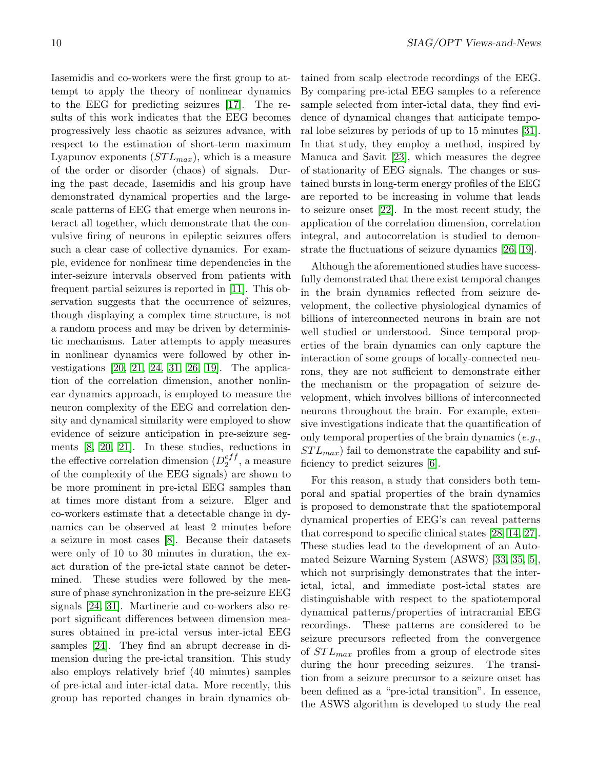Iasemidis and co-workers were the first group to attempt to apply the theory of nonlinear dynamics to the EEG for predicting seizures [\[17\]](#page-17-0). The results of this work indicates that the EEG becomes progressively less chaotic as seizures advance, with respect to the estimation of short-term maximum Lyapunov exponents  $(STL_{max})$ , which is a measure of the order or disorder (chaos) of signals. During the past decade, Iasemidis and his group have demonstrated dynamical properties and the largescale patterns of EEG that emerge when neurons interact all together, which demonstrate that the convulsive firing of neurons in epileptic seizures offers such a clear case of collective dynamics. For example, evidence for nonlinear time dependencies in the inter-seizure intervals observed from patients with frequent partial seizures is reported in [\[11\]](#page-17-1). This observation suggests that the occurrence of seizures, though displaying a complex time structure, is not a random process and may be driven by deterministic mechanisms. Later attempts to apply measures in nonlinear dynamics were followed by other investigations [\[20,](#page-17-2) [21,](#page-17-3) [24,](#page-17-4) [31,](#page-18-3) [26,](#page-18-4) [19\]](#page-17-5). The application of the correlation dimension, another nonlinear dynamics approach, is employed to measure the neuron complexity of the EEG and correlation density and dynamical similarity were employed to show evidence of seizure anticipation in pre-seizure segments [\[8,](#page-17-6) [20,](#page-17-2) [21\]](#page-17-3). In these studies, reductions in the effective correlation dimension  $(D_2^{eff})$  $_2^{e_{JJ}}$ , a measure of the complexity of the EEG signals) are shown to be more prominent in pre-ictal EEG samples than at times more distant from a seizure. Elger and co-workers estimate that a detectable change in dynamics can be observed at least 2 minutes before a seizure in most cases [\[8\]](#page-17-6). Because their datasets were only of 10 to 30 minutes in duration, the exact duration of the pre-ictal state cannot be determined. These studies were followed by the measure of phase synchronization in the pre-seizure EEG signals [\[24,](#page-17-4) [31\]](#page-18-3). Martinerie and co-workers also report significant differences between dimension measures obtained in pre-ictal versus inter-ictal EEG samples [\[24\]](#page-17-4). They find an abrupt decrease in dimension during the pre-ictal transition. This study also employs relatively brief (40 minutes) samples of pre-ictal and inter-ictal data. More recently, this group has reported changes in brain dynamics ob-

tained from scalp electrode recordings of the EEG. By comparing pre-ictal EEG samples to a reference sample selected from inter-ictal data, they find evidence of dynamical changes that anticipate temporal lobe seizures by periods of up to 15 minutes [\[31\]](#page-18-3). In that study, they employ a method, inspired by Manuca and Savit [\[23\]](#page-17-7), which measures the degree of stationarity of EEG signals. The changes or sustained bursts in long-term energy profiles of the EEG are reported to be increasing in volume that leads to seizure onset [\[22\]](#page-17-8). In the most recent study, the application of the correlation dimension, correlation integral, and autocorrelation is studied to demonstrate the fluctuations of seizure dynamics [\[26,](#page-18-4) [19\]](#page-17-5).

Although the aforementioned studies have successfully demonstrated that there exist temporal changes in the brain dynamics reflected from seizure development, the collective physiological dynamics of billions of interconnected neurons in brain are not well studied or understood. Since temporal properties of the brain dynamics can only capture the interaction of some groups of locally-connected neurons, they are not sufficient to demonstrate either the mechanism or the propagation of seizure development, which involves billions of interconnected neurons throughout the brain. For example, extensive investigations indicate that the quantification of only temporal properties of the brain dynamics  $(e.g.,)$  $STL_{max}$ ) fail to demonstrate the capability and sufficiency to predict seizures [\[6\]](#page-17-9).

For this reason, a study that considers both temporal and spatial properties of the brain dynamics is proposed to demonstrate that the spatiotemporal dynamical properties of EEG's can reveal patterns that correspond to specific clinical states [\[28,](#page-18-5) [14,](#page-17-10) [27\]](#page-18-6). These studies lead to the development of an Automated Seizure Warning System (ASWS) [\[33,](#page-18-7) [35,](#page-18-8) [5\]](#page-17-11), which not surprisingly demonstrates that the interictal, ictal, and immediate post-ictal states are distinguishable with respect to the spatiotemporal dynamical patterns/properties of intracranial EEG recordings. These patterns are considered to be seizure precursors reflected from the convergence of  $STL_{max}$  profiles from a group of electrode sites during the hour preceding seizures. The transition from a seizure precursor to a seizure onset has been defined as a "pre-ictal transition". In essence, the ASWS algorithm is developed to study the real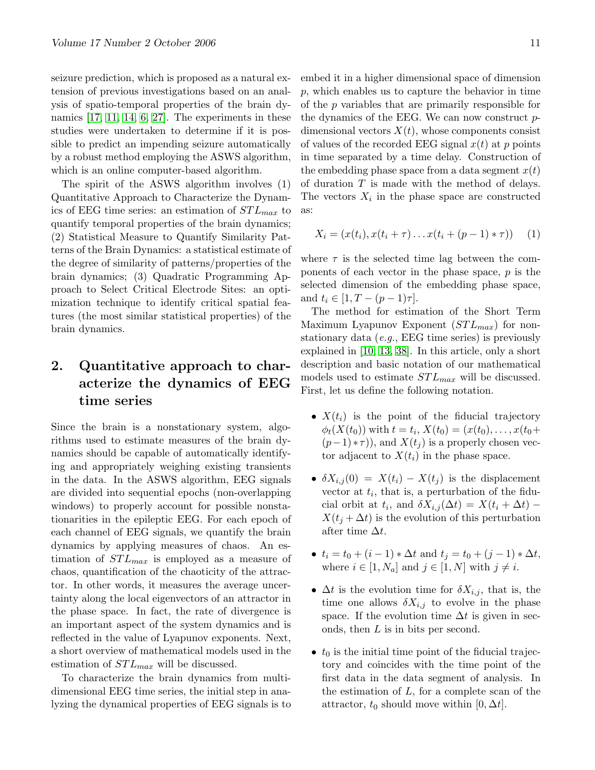seizure prediction, which is proposed as a natural extension of previous investigations based on an analysis of spatio-temporal properties of the brain dynamics [\[17,](#page-17-0) [11,](#page-17-1) [14,](#page-17-10) [6,](#page-17-9) [27\]](#page-18-6). The experiments in these studies were undertaken to determine if it is possible to predict an impending seizure automatically by a robust method employing the ASWS algorithm, which is an online computer-based algorithm.

The spirit of the ASWS algorithm involves (1) Quantitative Approach to Characterize the Dynamics of EEG time series: an estimation of  $STL_{max}$  to quantify temporal properties of the brain dynamics; (2) Statistical Measure to Quantify Similarity Patterns of the Brain Dynamics: a statistical estimate of the degree of similarity of patterns/properties of the brain dynamics; (3) Quadratic Programming Approach to Select Critical Electrode Sites: an optimization technique to identify critical spatial features (the most similar statistical properties) of the brain dynamics.

# 2. Quantitative approach to characterize the dynamics of EEG time series

Since the brain is a nonstationary system, algorithms used to estimate measures of the brain dynamics should be capable of automatically identifying and appropriately weighing existing transients in the data. In the ASWS algorithm, EEG signals are divided into sequential epochs (non-overlapping windows) to properly account for possible nonstationarities in the epileptic EEG. For each epoch of each channel of EEG signals, we quantify the brain dynamics by applying measures of chaos. An estimation of  $STL_{max}$  is employed as a measure of chaos, quantification of the chaoticity of the attractor. In other words, it measures the average uncertainty along the local eigenvectors of an attractor in the phase space. In fact, the rate of divergence is an important aspect of the system dynamics and is reflected in the value of Lyapunov exponents. Next, a short overview of mathematical models used in the estimation of  $STL_{max}$  will be discussed.

To characterize the brain dynamics from multidimensional EEG time series, the initial step in analyzing the dynamical properties of EEG signals is to

embed it in a higher dimensional space of dimension p, which enables us to capture the behavior in time of the p variables that are primarily responsible for the dynamics of the EEG. We can now construct pdimensional vectors  $X(t)$ , whose components consist of values of the recorded EEG signal  $x(t)$  at p points in time separated by a time delay. Construction of the embedding phase space from a data segment  $x(t)$ of duration  $T$  is made with the method of delays. The vectors  $X_i$  in the phase space are constructed as:

$$
X_i = (x(t_i), x(t_i + \tau) \dots x(t_i + (p-1) * \tau)) \quad (1)
$$

where  $\tau$  is the selected time lag between the components of each vector in the phase space,  $p$  is the selected dimension of the embedding phase space, and  $t_i \in [1, T - (p-1)\tau].$ 

The method for estimation of the Short Term Maximum Lyapunov Exponent  $(STL_{max})$  for nonstationary data  $(e.g., EEG$  time series) is previously explained in [\[10,](#page-17-12) [13,](#page-17-13) [38\]](#page-18-9). In this article, only a short description and basic notation of our mathematical models used to estimate  $STL_{max}$  will be discussed. First, let us define the following notation.

- $X(t_i)$  is the point of the fiducial trajectory  $\phi_t(X(t_0))$  with  $t = t_i, X(t_0) = (x(t_0), \dots, x(t_0 +$  $(p-1) * \tau$ ), and  $X(t_i)$  is a properly chosen vector adjacent to  $X(t_i)$  in the phase space.
- $\delta X_{i,j}(0) = X(t_i) X(t_j)$  is the displacement vector at  $t_i$ , that is, a perturbation of the fiducial orbit at  $t_i$ , and  $\delta X_{i,j}(\Delta t) = X(t_i + \Delta t)$  –  $X(t_i + \Delta t)$  is the evolution of this perturbation after time  $\Delta t$ .
- $t_i = t_0 + (i 1) * \Delta t$  and  $t_j = t_0 + (j 1) * \Delta t$ , where  $i \in [1, N_a]$  and  $j \in [1, N]$  with  $j \neq i$ .
- $\Delta t$  is the evolution time for  $\delta X_{i,j}$ , that is, the time one allows  $\delta X_{i,j}$  to evolve in the phase space. If the evolution time  $\Delta t$  is given in seconds, then L is in bits per second.
- $t_0$  is the initial time point of the fiducial trajectory and coincides with the time point of the first data in the data segment of analysis. In the estimation of  $L$ , for a complete scan of the attractor,  $t_0$  should move within  $[0, \Delta t]$ .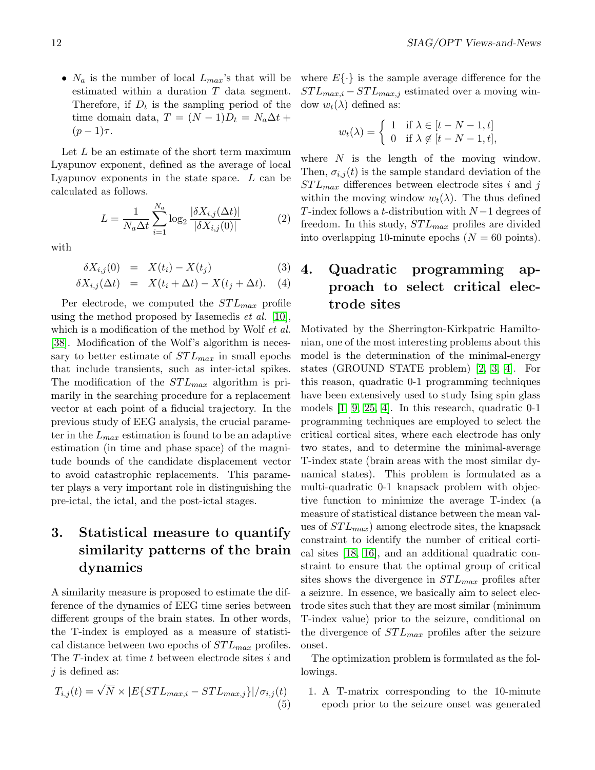•  $N_a$  is the number of local  $L_{max}$ 's that will be estimated within a duration T data segment. Therefore, if  $D_t$  is the sampling period of the time domain data,  $T = (N-1)D_t = N_a \Delta t +$  $(p-1)\tau$ .

Let L be an estimate of the short term maximum Lyapunov exponent, defined as the average of local Lyapunov exponents in the state space.  $L$  can be calculated as follows.

$$
L = \frac{1}{N_a \Delta t} \sum_{i=1}^{N_a} \log_2 \frac{|\delta X_{i,j}(\Delta t)|}{|\delta X_{i,j}(0)|}
$$
(2)

with

$$
\delta X_{i,j}(0) = X(t_i) - X(t_j) \tag{3}
$$

$$
\delta X_{i,j}(\Delta t) = X(t_i + \Delta t) - X(t_j + \Delta t). \quad (4)
$$

Per electrode, we computed the  $STL_{max}$  profile using the method proposed by Iasemedis *et al.* [\[10\]](#page-17-12), which is a modification of the method by Wolf et al. [\[38\]](#page-18-9). Modification of the Wolf's algorithm is necessary to better estimate of  $STL_{max}$  in small epochs that include transients, such as inter-ictal spikes. The modification of the  $STL_{max}$  algorithm is primarily in the searching procedure for a replacement vector at each point of a fiducial trajectory. In the previous study of EEG analysis, the crucial parameter in the  $L_{max}$  estimation is found to be an adaptive estimation (in time and phase space) of the magnitude bounds of the candidate displacement vector to avoid catastrophic replacements. This parameter plays a very important role in distinguishing the pre-ictal, the ictal, and the post-ictal stages.

# 3. Statistical measure to quantify similarity patterns of the brain dynamics

A similarity measure is proposed to estimate the difference of the dynamics of EEG time series between different groups of the brain states. In other words, the T-index is employed as a measure of statistical distance between two epochs of  $STL_{max}$  profiles. The T-index at time t between electrode sites i and  $j$  is defined as:

$$
T_{i,j}(t) = \sqrt{N} \times |E\{STL_{max,i} - STL_{max,j}\}|/\sigma_{i,j}(t)
$$
\n(5)

where  $E\{\cdot\}$  is the sample average difference for the  $STL_{max,i} - STL_{max,j}$  estimated over a moving window  $w_t(\lambda)$  defined as:

$$
w_t(\lambda) = \begin{cases} 1 & \text{if } \lambda \in [t - N - 1, t] \\ 0 & \text{if } \lambda \notin [t - N - 1, t], \end{cases}
$$

where  $N$  is the length of the moving window. Then,  $\sigma_{i,j}(t)$  is the sample standard deviation of the  $STL_{max}$  differences between electrode sites i and j within the moving window  $w_t(\lambda)$ . The thus defined T-index follows a t-distribution with  $N-1$  degrees of freedom. In this study,  $STL_{max}$  profiles are divided into overlapping 10-minute epochs  $(N = 60 \text{ points})$ .

# 4. Quadratic programming approach to select critical electrode sites

Motivated by the Sherrington-Kirkpatric Hamiltonian, one of the most interesting problems about this model is the determination of the minimal-energy states (GROUND STATE problem) [\[2,](#page-16-0) [3,](#page-17-14) [4\]](#page-17-15). For this reason, quadratic 0-1 programming techniques have been extensively used to study Ising spin glass models [\[1,](#page-16-1) [9,](#page-17-16) [25,](#page-17-17) [4\]](#page-17-15). In this research, quadratic 0-1 programming techniques are employed to select the critical cortical sites, where each electrode has only two states, and to determine the minimal-average T-index state (brain areas with the most similar dynamical states). This problem is formulated as a multi-quadratic 0-1 knapsack problem with objective function to minimize the average T-index (a measure of statistical distance between the mean values of  $STL_{max}$ ) among electrode sites, the knapsack constraint to identify the number of critical cortical sites [\[18,](#page-17-18) [16\]](#page-17-19), and an additional quadratic constraint to ensure that the optimal group of critical sites shows the divergence in  $STL_{max}$  profiles after a seizure. In essence, we basically aim to select electrode sites such that they are most similar (minimum T-index value) prior to the seizure, conditional on the divergence of  $STL_{max}$  profiles after the seizure onset.

The optimization problem is formulated as the followings.

1. A T-matrix corresponding to the 10-minute epoch prior to the seizure onset was generated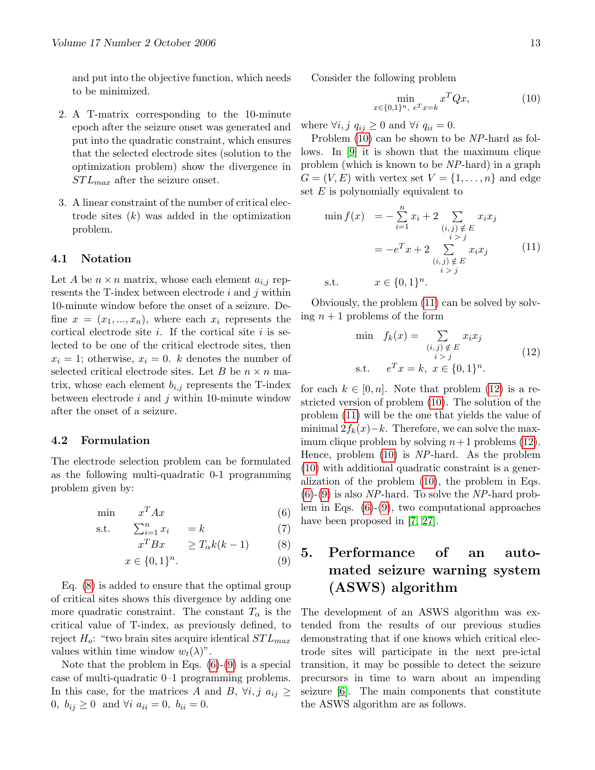and put into the objective function, which needs to be minimized.

- 2. A T-matrix corresponding to the 10-minute epoch after the seizure onset was generated and put into the quadratic constraint, which ensures that the selected electrode sites (solution to the optimization problem) show the divergence in  $STL_{max}$  after the seizure onset.
- 3. A linear constraint of the number of critical electrode sites  $(k)$  was added in the optimization problem.

#### 4.1 Notation

Let A be  $n \times n$  matrix, whose each element  $a_{i,j}$  represents the T-index between electrode  $i$  and  $j$  within 10-minute window before the onset of a seizure. Define  $x = (x_1, ..., x_n)$ , where each  $x_i$  represents the cortical electrode site  $i$ . If the cortical site  $i$  is selected to be one of the critical electrode sites, then  $x_i = 1$ ; otherwise,  $x_i = 0$ . k denotes the number of selected critical electrode sites. Let B be  $n \times n$  matrix, whose each element  $b_{i,j}$  represents the T-index between electrode  $i$  and  $j$  within 10-minute window after the onset of a seizure.

#### 4.2 Formulation

The electrode selection problem can be formulated as the following multi-quadratic 0-1 programming problem given by:

$$
\min \qquad x^T A x \tag{6}
$$

<span id="page-12-0"></span>
$$
s.t. \qquad \sum_{i=1}^{n} x_i = k \tag{7}
$$

$$
x^T B x \qquad \geq T_\alpha k(k-1) \tag{8}
$$

$$
x \in \{0, 1\}^n. \tag{9}
$$

Eq. [\(8\)](#page-12-0) is added to ensure that the optimal group of critical sites shows this divergence by adding one more quadratic constraint. The constant  $T_{\alpha}$  is the critical value of T-index, as previously defined, to reject  $H_o$ : "two brain sites acquire identical  $STL_{max}$ values within time window  $w_t(\lambda)$ ".

Note that the problem in Eqs.  $(6)-(9)$  $(6)-(9)$  $(6)-(9)$  is a special case of multi-quadratic 0–1 programming problems. In this case, for the matrices A and B,  $\forall i, j \ a_{ij} \geq$ 0,  $b_{ij} \ge 0$  and  $\forall i \ a_{ii} = 0, \ b_{ii} = 0.$ 

Consider the following problem

<span id="page-12-1"></span>
$$
\min_{x \in \{0,1\}^n, e^T x = k} x^T Q x,\tag{10}
$$

where  $\forall i, j \ q_{ij} \geq 0$  and  $\forall i \ q_{ii} = 0$ .

Problem [\(10\)](#page-12-1) can be shown to be NP-hard as follows. In [\[9\]](#page-17-16) it is shown that the maximum clique problem (which is known to be NP-hard) in a graph  $G = (V, E)$  with vertex set  $V = \{1, \ldots, n\}$  and edge set  $E$  is polynomially equivalent to

<span id="page-12-2"></span>
$$
\min f(x) = -\sum_{i=1}^{n} x_i + 2 \sum_{\substack{(i,j) \notin E \\ i > j}} x_i x_j
$$

$$
= -e^T x + 2 \sum_{\substack{(i,j) \notin E \\ i > j}} x_i x_j \qquad (11)
$$
  
s.t.  $x \in \{0, 1\}^n$ .

Obviously, the problem [\(11\)](#page-12-2) can be solved by solving  $n+1$  problems of the form

<span id="page-12-3"></span>
$$
\min f_k(x) = \sum_{\substack{(i,j) \notin E \\ i > j}} x_i x_j
$$
\n
$$
\text{s.t.} \quad e^T x = k, \ x \in \{0, 1\}^n. \tag{12}
$$

for each  $k \in [0, n]$ . Note that problem [\(12\)](#page-12-3) is a restricted version of problem [\(10\)](#page-12-1). The solution of the problem [\(11\)](#page-12-2) will be the one that yields the value of minimal  $2f_k(x)-k$ . Therefore, we can solve the maximum clique problem by solving  $n+1$  problems [\(12\)](#page-12-3). Hence, problem [\(10\)](#page-12-1) is NP-hard. As the problem [\(10\)](#page-12-1) with additional quadratic constraint is a generalization of the problem [\(10\)](#page-12-1), the problem in Eqs.  $(6)-(9)$  $(6)-(9)$  $(6)-(9)$  is also NP-hard. To solve the NP-hard problem in Eqs. [\(6\)](#page-12-0)-[\(9\)](#page-12-0), two computational approaches have been proposed in [\[7,](#page-17-20) [27\]](#page-18-6).

# 5. Performance of an automated seizure warning system (ASWS) algorithm

The development of an ASWS algorithm was extended from the results of our previous studies demonstrating that if one knows which critical electrode sites will participate in the next pre-ictal transition, it may be possible to detect the seizure precursors in time to warn about an impending seizure [\[6\]](#page-17-9). The main components that constitute the ASWS algorithm are as follows.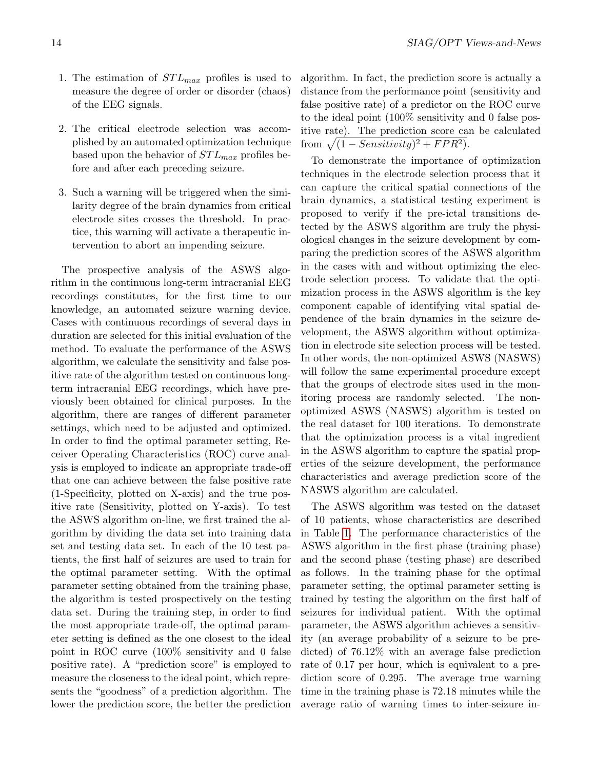- 1. The estimation of  $STL_{max}$  profiles is used to measure the degree of order or disorder (chaos) of the EEG signals.
- 2. The critical electrode selection was accomplished by an automated optimization technique based upon the behavior of  $STL_{max}$  profiles before and after each preceding seizure.
- 3. Such a warning will be triggered when the similarity degree of the brain dynamics from critical electrode sites crosses the threshold. In practice, this warning will activate a therapeutic intervention to abort an impending seizure.

The prospective analysis of the ASWS algorithm in the continuous long-term intracranial EEG recordings constitutes, for the first time to our knowledge, an automated seizure warning device. Cases with continuous recordings of several days in duration are selected for this initial evaluation of the method. To evaluate the performance of the ASWS algorithm, we calculate the sensitivity and false positive rate of the algorithm tested on continuous longterm intracranial EEG recordings, which have previously been obtained for clinical purposes. In the algorithm, there are ranges of different parameter settings, which need to be adjusted and optimized. In order to find the optimal parameter setting, Receiver Operating Characteristics (ROC) curve analysis is employed to indicate an appropriate trade-off that one can achieve between the false positive rate (1-Specificity, plotted on X-axis) and the true positive rate (Sensitivity, plotted on Y-axis). To test the ASWS algorithm on-line, we first trained the algorithm by dividing the data set into training data set and testing data set. In each of the 10 test patients, the first half of seizures are used to train for the optimal parameter setting. With the optimal parameter setting obtained from the training phase, the algorithm is tested prospectively on the testing data set. During the training step, in order to find the most appropriate trade-off, the optimal parameter setting is defined as the one closest to the ideal point in ROC curve (100% sensitivity and 0 false positive rate). A "prediction score" is employed to measure the closeness to the ideal point, which represents the "goodness" of a prediction algorithm. The lower the prediction score, the better the prediction algorithm. In fact, the prediction score is actually a distance from the performance point (sensitivity and false positive rate) of a predictor on the ROC curve to the ideal point (100% sensitivity and 0 false positive rate). The prediction score can be calculated from  $\sqrt{(1 - Sensitivity)^2 + FPR^2}$ .

To demonstrate the importance of optimization techniques in the electrode selection process that it can capture the critical spatial connections of the brain dynamics, a statistical testing experiment is proposed to verify if the pre-ictal transitions detected by the ASWS algorithm are truly the physiological changes in the seizure development by comparing the prediction scores of the ASWS algorithm in the cases with and without optimizing the electrode selection process. To validate that the optimization process in the ASWS algorithm is the key component capable of identifying vital spatial dependence of the brain dynamics in the seizure development, the ASWS algorithm without optimization in electrode site selection process will be tested. In other words, the non-optimized ASWS (NASWS) will follow the same experimental procedure except that the groups of electrode sites used in the monitoring process are randomly selected. The nonoptimized ASWS (NASWS) algorithm is tested on the real dataset for 100 iterations. To demonstrate that the optimization process is a vital ingredient in the ASWS algorithm to capture the spatial properties of the seizure development, the performance characteristics and average prediction score of the NASWS algorithm are calculated.

The ASWS algorithm was tested on the dataset of 10 patients, whose characteristics are described in Table [1.](#page-14-0) The performance characteristics of the ASWS algorithm in the first phase (training phase) and the second phase (testing phase) are described as follows. In the training phase for the optimal parameter setting, the optimal parameter setting is trained by testing the algorithm on the first half of seizures for individual patient. With the optimal parameter, the ASWS algorithm achieves a sensitivity (an average probability of a seizure to be predicted) of 76.12% with an average false prediction rate of 0.17 per hour, which is equivalent to a prediction score of 0.295. The average true warning time in the training phase is 72.18 minutes while the average ratio of warning times to inter-seizure in-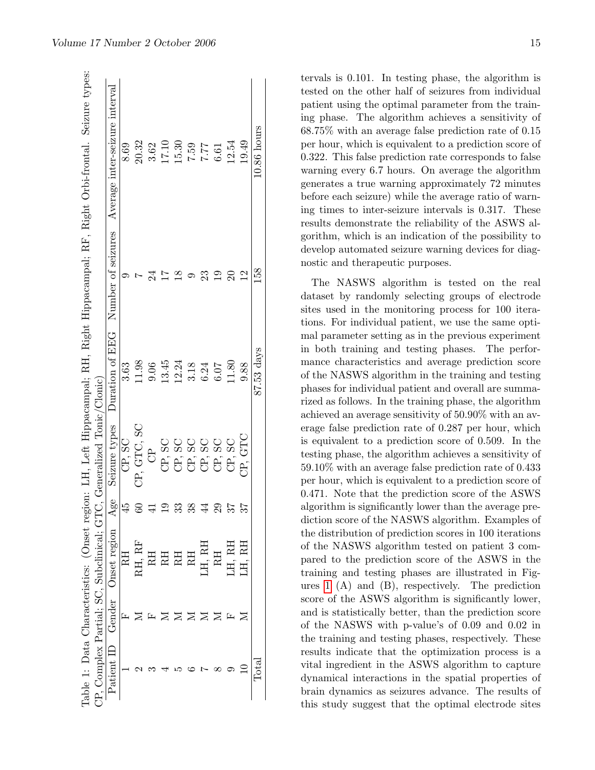|            |        | CP, Complex Partial; SC, Subclinical; GT |    | C, Generalized Tonic/Clonic) |            |                                    | lable 1: Data Characteristics: (Onset region: LH, Left Hippacampal; RH, Right Hippacampal; RF, Right Orbi-frontal. Seizure types: |
|------------|--------|------------------------------------------|----|------------------------------|------------|------------------------------------|-----------------------------------------------------------------------------------------------------------------------------------|
| Patient ID | Gender | Onset region                             | 86 | Seizure types                |            | Duration of EEG Number of seizures | Average inter-seizure interval                                                                                                    |
|            | ⊡      | RH                                       |    | CP, SC                       | 3.63       |                                    | 8.69                                                                                                                              |
|            |        | RH, RF                                   |    | CP, GTC, SC                  | 11.98      |                                    | 20.32                                                                                                                             |
|            |        | RH                                       |    | පි                           | 9.06       |                                    | 3.62                                                                                                                              |
|            |        | RH                                       |    |                              | 13.45      |                                    | 17.10                                                                                                                             |
|            |        | R <sub>H</sub>                           |    |                              | 12.24      |                                    | 15.30                                                                                                                             |
|            |        | RH                                       |    |                              | 3.18       |                                    | 7.59                                                                                                                              |
|            |        | .H, RH                                   |    |                              | 6.24       | ೫                                  | 7.77                                                                                                                              |
|            |        |                                          |    | CP, SC                       | 6.07       |                                    | 6.61                                                                                                                              |
|            |        | лн, RL                                   |    | CP, SC                       | 11.80      |                                    | 12.54                                                                                                                             |
|            |        | .H. RH                                   |    | CP, GTC                      | 9.88       | $\mathbf{\Xi}$                     | 19.49                                                                                                                             |
|            |        |                                          |    |                              | 87.53 days | 158                                | $10.86$ hours                                                                                                                     |
|            |        |                                          |    |                              |            |                                    |                                                                                                                                   |

tervals is 0.101. In testing phase, the algorithm is tested on the other half of seizures from individual patient using the optimal parameter from the training phase. The algorithm achieves a sensitivity of 68.75% with an average false prediction rate of 0.15 per hour, which is equivalent to a prediction score of 0.322. This false prediction rate corresponds to false warning every 6.7 hours. On average the algorithm generates a true warning approximately 72 minutes before each seizure) while the average ratio of warning times to inter-seizure intervals is 0.317. These results demonstrate the reliability of the ASWS algorithm, which is an indication of the possibility to develop automated seizure warning devices for diagnostic and therapeutic purposes.

<span id="page-14-0"></span>The NASWS algorithm is tested on the real dataset by randomly selecting groups of electrode sites used in the monitoring process for 100 iterations. For individual patient, we use the same optimal parameter setting as in the previous experiment in both training and testing phases. The performance characteristics and average prediction score of the NASWS algorithm in the training and testing phases for individual patient and overall are summarized as follows. In the training phase, the algorithm achieved an average sensitivity of 50.90% with an average false prediction rate of 0.287 per hour, which is equivalent to a prediction score of 0.509. In the testing phase, the algorithm achieves a sensitivity of 59.10% with an average false prediction rate of 0.433 per hour, which is equivalent to a prediction score of 0.471. Note that the prediction score of the ASWS algorithm is significantly lower than the average prediction score of the NASWS algorithm. Examples of the distribution of prediction scores in 100 iterations of the NASWS algorithm tested on patient 3 compared to the prediction score of the ASWS in the training and testing phases are illustrated in Figures [1](#page-15-0) (A) and (B), respectively. The prediction score of the ASWS algorithm is significantly lower, and is statistically better, than the prediction score of the NASWS with p-value's of 0.09 and 0.02 in the training and testing phases, respectively. These results indicate that the optimization process is a vital ingredient in the ASWS algorithm to capture dynamical interactions in the spatial properties of brain dynamics as seizures advance. The results of this study suggest that the optimal electrode sites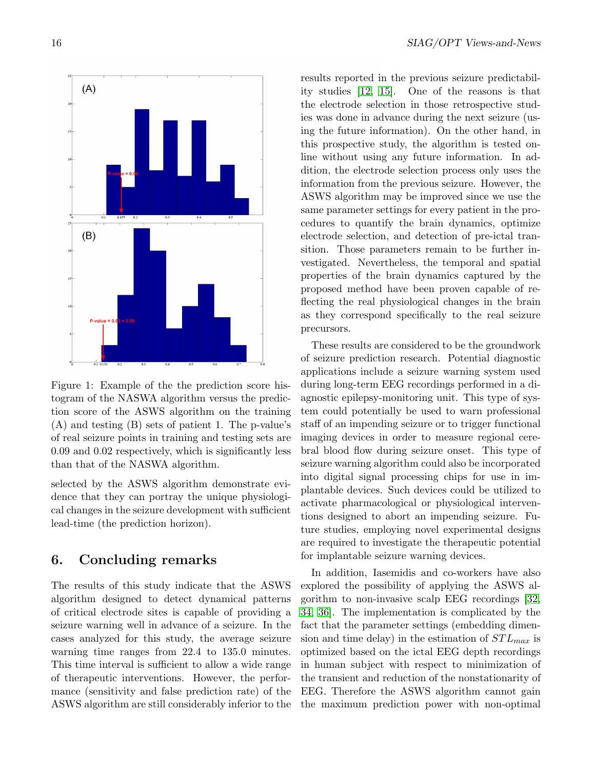

<span id="page-15-0"></span>Figure 1: Example of the the prediction score histogram of the NASWA algorithm versus the prediction score of the ASWS algorithm on the training (A) and testing (B) sets of patient 1. The p-value's of real seizure points in training and testing sets are 0.09 and 0.02 respectively, which is significantly less than that of the NASWA algorithm.

selected by the ASWS algorithm demonstrate evidence that they can portray the unique physiological changes in the seizure development with sufficient lead-time (the prediction horizon).

# 6. Concluding remarks

The results of this study indicate that the ASWS algorithm designed to detect dynamical patterns of critical electrode sites is capable of providing a seizure warning well in advance of a seizure. In the cases analyzed for this study, the average seizure warning time ranges from 22.4 to 135.0 minutes. This time interval is sufficient to allow a wide range of therapeutic interventions. However, the performance (sensitivity and false prediction rate) of the ASWS algorithm are still considerably inferior to the results reported in the previous seizure predictability studies [\[12,](#page-17-21) [15\]](#page-17-22). One of the reasons is that the electrode selection in those retrospective studies was done in advance during the next seizure (using the future information). On the other hand, in this prospective study, the algorithm is tested online without using any future information. In addition, the electrode selection process only uses the information from the previous seizure. However, the ASWS algorithm may be improved since we use the same parameter settings for every patient in the procedures to quantify the brain dynamics, optimize electrode selection, and detection of pre-ictal transition. Those parameters remain to be further investigated. Nevertheless, the temporal and spatial properties of the brain dynamics captured by the proposed method have been proven capable of reflecting the real physiological changes in the brain as they correspond specifically to the real seizure precursors.

These results are considered to be the groundwork of seizure prediction research. Potential diagnostic applications include a seizure warning system used during long-term EEG recordings performed in a diagnostic epilepsy-monitoring unit. This type of system could potentially be used to warn professional staff of an impending seizure or to trigger functional imaging devices in order to measure regional cerebral blood flow during seizure onset. This type of seizure warning algorithm could also be incorporated into digital signal processing chips for use in implantable devices. Such devices could be utilized to activate pharmacological or physiological interventions designed to abort an impending seizure. Future studies, employing novel experimental designs are required to investigate the therapeutic potential for implantable seizure warning devices.

In addition, Iasemidis and co-workers have also explored the possibility of applying the ASWS algorithm to non-invasive scalp EEG recordings [\[32,](#page-18-10) [34,](#page-18-11) [36\]](#page-18-12). The implementation is complicated by the fact that the parameter settings (embedding dimension and time delay) in the estimation of  $STL_{max}$  is optimized based on the ictal EEG depth recordings in human subject with respect to minimization of the transient and reduction of the nonstationarity of EEG. Therefore the ASWS algorithm cannot gain the maximum prediction power with non-optimal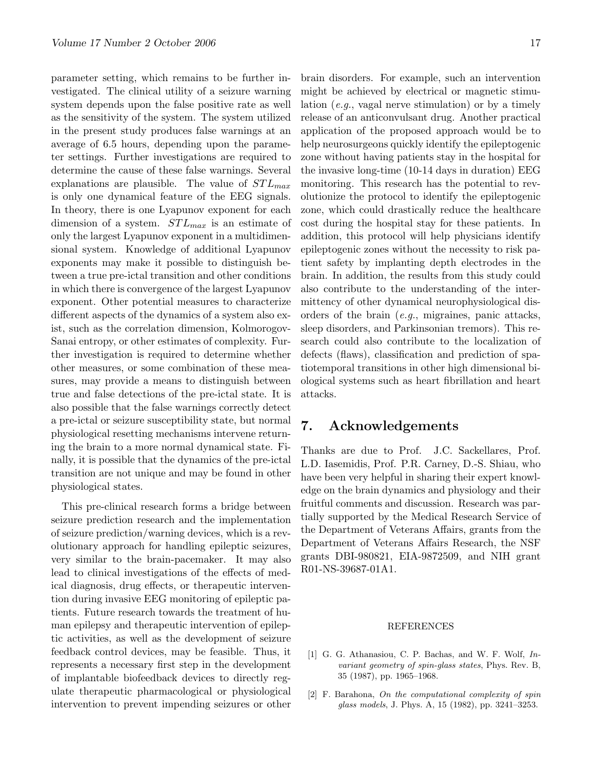parameter setting, which remains to be further investigated. The clinical utility of a seizure warning system depends upon the false positive rate as well as the sensitivity of the system. The system utilized in the present study produces false warnings at an average of 6.5 hours, depending upon the parameter settings. Further investigations are required to determine the cause of these false warnings. Several explanations are plausible. The value of  $STL_{max}$ is only one dynamical feature of the EEG signals. In theory, there is one Lyapunov exponent for each dimension of a system.  $STL_{max}$  is an estimate of only the largest Lyapunov exponent in a multidimensional system. Knowledge of additional Lyapunov exponents may make it possible to distinguish between a true pre-ictal transition and other conditions in which there is convergence of the largest Lyapunov exponent. Other potential measures to characterize different aspects of the dynamics of a system also exist, such as the correlation dimension, Kolmorogov-Sanai entropy, or other estimates of complexity. Further investigation is required to determine whether other measures, or some combination of these measures, may provide a means to distinguish between true and false detections of the pre-ictal state. It is also possible that the false warnings correctly detect a pre-ictal or seizure susceptibility state, but normal physiological resetting mechanisms intervene returning the brain to a more normal dynamical state. Finally, it is possible that the dynamics of the pre-ictal transition are not unique and may be found in other physiological states.

This pre-clinical research forms a bridge between seizure prediction research and the implementation of seizure prediction/warning devices, which is a revolutionary approach for handling epileptic seizures, very similar to the brain-pacemaker. It may also lead to clinical investigations of the effects of medical diagnosis, drug effects, or therapeutic intervention during invasive EEG monitoring of epileptic patients. Future research towards the treatment of human epilepsy and therapeutic intervention of epileptic activities, as well as the development of seizure feedback control devices, may be feasible. Thus, it represents a necessary first step in the development of implantable biofeedback devices to directly regulate therapeutic pharmacological or physiological intervention to prevent impending seizures or other

brain disorders. For example, such an intervention might be achieved by electrical or magnetic stimulation (e.g., vagal nerve stimulation) or by a timely release of an anticonvulsant drug. Another practical application of the proposed approach would be to help neurosurgeons quickly identify the epileptogenic zone without having patients stay in the hospital for the invasive long-time (10-14 days in duration) EEG monitoring. This research has the potential to revolutionize the protocol to identify the epileptogenic zone, which could drastically reduce the healthcare cost during the hospital stay for these patients. In addition, this protocol will help physicians identify epileptogenic zones without the necessity to risk patient safety by implanting depth electrodes in the brain. In addition, the results from this study could also contribute to the understanding of the intermittency of other dynamical neurophysiological disorders of the brain (e.g., migraines, panic attacks, sleep disorders, and Parkinsonian tremors). This research could also contribute to the localization of defects (flaws), classification and prediction of spatiotemporal transitions in other high dimensional biological systems such as heart fibrillation and heart attacks.

# 7. Acknowledgements

Thanks are due to Prof. J.C. Sackellares, Prof. L.D. Iasemidis, Prof. P.R. Carney, D.-S. Shiau, who have been very helpful in sharing their expert knowledge on the brain dynamics and physiology and their fruitful comments and discussion. Research was partially supported by the Medical Research Service of the Department of Veterans Affairs, grants from the Department of Veterans Affairs Research, the NSF grants DBI-980821, EIA-9872509, and NIH grant R01-NS-39687-01A1.

#### REFERENCES

- <span id="page-16-1"></span>[1] G. G. Athanasiou, C. P. Bachas, and W. F. Wolf, Invariant geometry of spin-glass states, Phys. Rev. B, 35 (1987), pp. 1965–1968.
- <span id="page-16-0"></span>[2] F. Barahona, On the computational complexity of spin glass models, J. Phys. A, 15 (1982), pp. 3241–3253.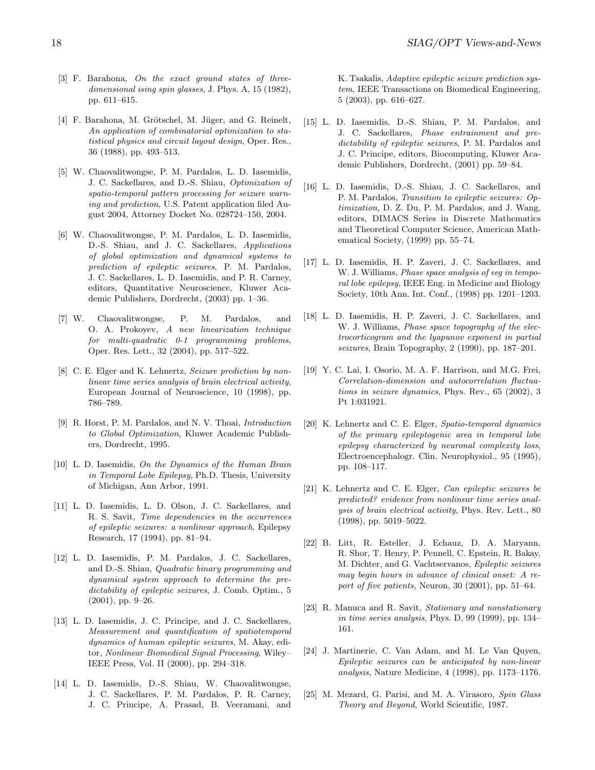- <span id="page-17-14"></span>[3] F. Barahona, On the exact ground states of threedimensional ising spin glasses, J. Phys. A, 15 (1982), pp. 611–615.
- <span id="page-17-15"></span>[4] F. Barahona, M. Grötschel, M. Jüger, and G. Reinelt, An application of combinatorial optimization to statistical physics and circuit layout design, Oper. Res., 36 (1988), pp. 493–513.
- <span id="page-17-11"></span>[5] W. Chaovalitwongse, P. M. Pardalos, L. D. Iasemidis, J. C. Sackellares, and D.-S. Shiau, Optimization of spatio-temporal pattern processing for seizure warning and prediction, U.S. Patent application filed August 2004, Attorney Docket No. 028724–150, 2004.
- <span id="page-17-9"></span>[6] W. Chaovalitwongse, P. M. Pardalos, L. D. Iasemidis, D.-S. Shiau, and J. C. Sackellares, Applications of global optimization and dynamical systems to prediction of epileptic seizures, P. M. Pardalos, J. C. Sackellares, L. D. Iasemidis, and P. R. Carney, editors, Quantitative Neuroscience, Kluwer Academic Publishers, Dordrecht, (2003) pp. 1–36.
- <span id="page-17-20"></span>[7] W. Chaovalitwongse, P. M. Pardalos, and O. A. Prokoyev, A new linearization technique for multi-quadratic 0-1 programming problems, Oper. Res. Lett., 32 (2004), pp. 517–522.
- <span id="page-17-6"></span>[8] C. E. Elger and K. Lehnertz, Seizure prediction by nonlinear time series analysis of brain electrical activity, European Journal of Neuroscience, 10 (1998), pp. 786–789.
- <span id="page-17-16"></span>[9] R. Horst, P. M. Pardalos, and N. V. Thoai, Introduction to Global Optimization, Kluwer Academic Publishers, Dordrecht, 1995.
- <span id="page-17-12"></span>[10] L. D. Iasemidis, On the Dynamics of the Human Brain in Temporal Lobe Epilepsy, Ph.D. Thesis, University of Michigan, Ann Arbor, 1991.
- <span id="page-17-1"></span>[11] L. D. Iasemidis, L. D. Olson, J. C. Sackellares, and R. S. Savit, Time dependencies in the occurrences of epileptic seizures: a nonlinear approach, Epilepsy Research, 17 (1994), pp. 81–94.
- <span id="page-17-21"></span>[12] L. D. Iasemidis, P. M. Pardalos, J. C. Sackellares, and D.-S. Shiau, Quadratic binary programming and dynamical system approach to determine the predictability of epileptic seizures, J. Comb. Optim., 5 (2001), pp. 9–26.
- <span id="page-17-13"></span>[13] L. D. Iasemidis, J. C. Principe, and J. C. Sackellares, Measurement and quantification of spatiotemporal dynamics of human epileptic seizures, M. Akay, editor, Nonlinear Biomedical Signal Processing, Wiley– IEEE Press, Vol. II (2000), pp. 294–318.
- <span id="page-17-10"></span>[14] L. D. Iasemidis, D.-S. Shiau, W. Chaovalitwongse, J. C. Sackellares, P. M. Pardalos, P. R. Carney, J. C. Principe, A. Prasad, B. Veeramani, and

K. Tsakalis, Adaptive epileptic seizure prediction system, IEEE Transactions on Biomedical Engineering, 5 (2003), pp. 616–627.

- <span id="page-17-22"></span>[15] L. D. Iasemidis, D.-S. Shiau, P. M. Pardalos, and J. C. Sackellares, Phase entrainment and predictability of epileptic seizures, P. M. Pardalos and J. C. Principe, editors, Biocomputing, Kluwer Academic Publishers, Dordrecht, (2001) pp. 59–84.
- <span id="page-17-19"></span>[16] L. D. Iasemidis, D.-S. Shiau, J. C. Sackellares, and P. M. Pardalos, Transition to epileptic seizures: Optimization, D. Z. Du, P. M. Pardalos, and J. Wang, editors, DIMACS Series in Discrete Mathematics and Theoretical Computer Science, American Mathematical Society, (1999) pp. 55–74.
- <span id="page-17-0"></span>[17] L. D. Iasemidis, H. P. Zaveri, J. C. Sackellares, and W. J. Williams, *Phase space analysis of eeq in tempo*ral lobe epilepsy, IEEE Eng. in Medicine and Biology Society, 10th Ann. Int. Conf., (1998) pp. 1201–1203.
- <span id="page-17-18"></span>[18] L. D. Iasemidis, H. P. Zaveri, J. C. Sackellares, and W. J. Williams, Phase space topography of the electrocorticogram and the lyapunov exponent in partial seizures, Brain Topography, 2 (1990), pp. 187–201.
- <span id="page-17-5"></span>[19] Y. C. Lai, I. Osorio, M. A. F. Harrison, and M.G. Frei, Correlation-dimension and autocorrelation fluctuations in seizure dynamics, Phys. Rev., 65 (2002), 3 Pt 1:031921.
- <span id="page-17-2"></span>[20] K. Lehnertz and C. E. Elger, Spatio-temporal dynamics of the primary epileptogenic area in temporal lobe epilepsy characterized by neuronal complexity loss, Electroencephalogr. Clin. Neurophysiol., 95 (1995), pp. 108–117.
- <span id="page-17-3"></span>[21] K. Lehnertz and C. E. Elger, Can epileptic seizures be predicted? evidence from nonlinear time series analysis of brain electrical activity, Phys. Rev. Lett., 80 (1998), pp. 5019–5022.
- <span id="page-17-8"></span>[22] B. Litt, R. Esteller, J. Echauz, D. A. Maryann, R. Shor, T. Henry, P. Pennell, C. Epstein, R. Bakay, M. Dichter, and G. Vachtservanos, Epileptic seizures may begin hours in advance of clinical onset: A report of five patients, Neuron, 30 (2001), pp. 51–64.
- <span id="page-17-7"></span>[23] R. Manuca and R. Savit, Stationary and nonstationary in time series analysis, Phys. D, 99 (1999), pp. 134– 161.
- <span id="page-17-4"></span>[24] J. Martinerie, C. Van Adam, and M. Le Van Quyen, Epileptic seizures can be anticipated by non-linear analysis, Nature Medicine, 4 (1998), pp. 1173–1176.
- <span id="page-17-17"></span>[25] M. Mezard, G. Parisi, and M. A. Virasoro, Spin Glass Theory and Beyond, World Scientific, 1987.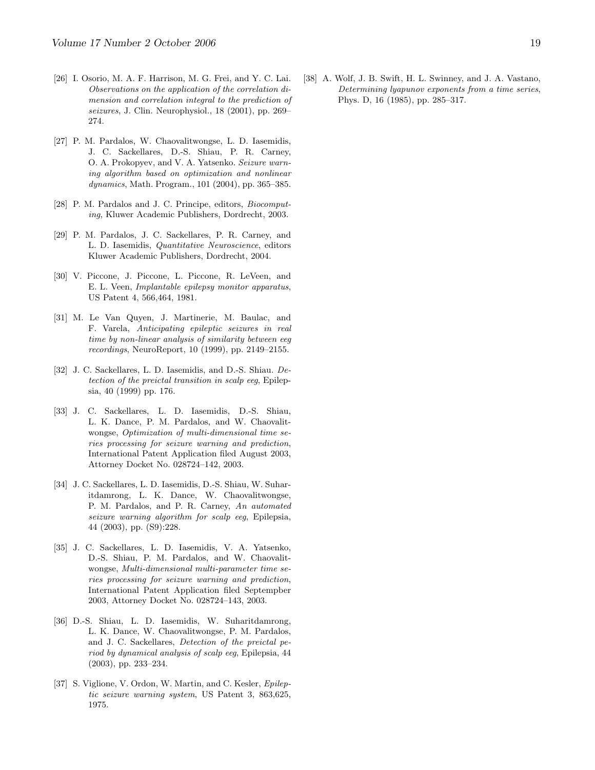- <span id="page-18-4"></span>[26] I. Osorio, M. A. F. Harrison, M. G. Frei, and Y. C. Lai. Observations on the application of the correlation dimension and correlation integral to the prediction of seizures, J. Clin. Neurophysiol., 18 (2001), pp. 269– 274.
- <span id="page-18-6"></span>[27] P. M. Pardalos, W. Chaovalitwongse, L. D. Iasemidis, J. C. Sackellares, D.-S. Shiau, P. R. Carney, O. A. Prokopyev, and V. A. Yatsenko. Seizure warning algorithm based on optimization and nonlinear dynamics, Math. Program., 101 (2004), pp. 365–385.
- <span id="page-18-5"></span>[28] P. M. Pardalos and J. C. Principe, editors, *Biocomput*ing, Kluwer Academic Publishers, Dordrecht, 2003.
- <span id="page-18-0"></span>[29] P. M. Pardalos, J. C. Sackellares, P. R. Carney, and L. D. Iasemidis, Quantitative Neuroscience, editors Kluwer Academic Publishers, Dordrecht, 2004.
- <span id="page-18-2"></span>[30] V. Piccone, J. Piccone, L. Piccone, R. LeVeen, and E. L. Veen, Implantable epilepsy monitor apparatus, US Patent 4, 566,464, 1981.
- <span id="page-18-3"></span>[31] M. Le Van Quyen, J. Martinerie, M. Baulac, and F. Varela, Anticipating epileptic seizures in real time by non-linear analysis of similarity between eeg recordings, NeuroReport, 10 (1999), pp. 2149–2155.
- <span id="page-18-10"></span>[32] J. C. Sackellares, L. D. Iasemidis, and D.-S. Shiau. Detection of the preictal transition in scalp eeg, Epilepsia, 40 (1999) pp. 176.
- <span id="page-18-7"></span>[33] J. C. Sackellares, L. D. Iasemidis, D.-S. Shiau, L. K. Dance, P. M. Pardalos, and W. Chaovalitwongse, Optimization of multi-dimensional time series processing for seizure warning and prediction, International Patent Application filed August 2003, Attorney Docket No. 028724–142, 2003.
- <span id="page-18-11"></span>[34] J. C. Sackellares, L. D. Iasemidis, D.-S. Shiau, W. Suharitdamrong, L. K. Dance, W. Chaovalitwongse, P. M. Pardalos, and P. R. Carney, An automated seizure warning algorithm for scalp eeg, Epilepsia, 44 (2003), pp. (S9):228.
- <span id="page-18-8"></span>[35] J. C. Sackellares, L. D. Iasemidis, V. A. Yatsenko, D.-S. Shiau, P. M. Pardalos, and W. Chaovalitwongse, Multi-dimensional multi-parameter time series processing for seizure warning and prediction, International Patent Application filed Septempber 2003, Attorney Docket No. 028724–143, 2003.
- <span id="page-18-12"></span>[36] D.-S. Shiau, L. D. Iasemidis, W. Suharitdamrong, L. K. Dance, W. Chaovalitwongse, P. M. Pardalos, and J. C. Sackellares, Detection of the preictal period by dynamical analysis of scalp eeg, Epilepsia, 44 (2003), pp. 233–234.
- <span id="page-18-1"></span>[37] S. Viglione, V. Ordon, W. Martin, and C. Kesler, Epileptic seizure warning system, US Patent 3, 863,625, 1975.

<span id="page-18-9"></span>[38] A. Wolf, J. B. Swift, H. L. Swinney, and J. A. Vastano, Determining lyapunov exponents from a time series, Phys. D, 16 (1985), pp. 285–317.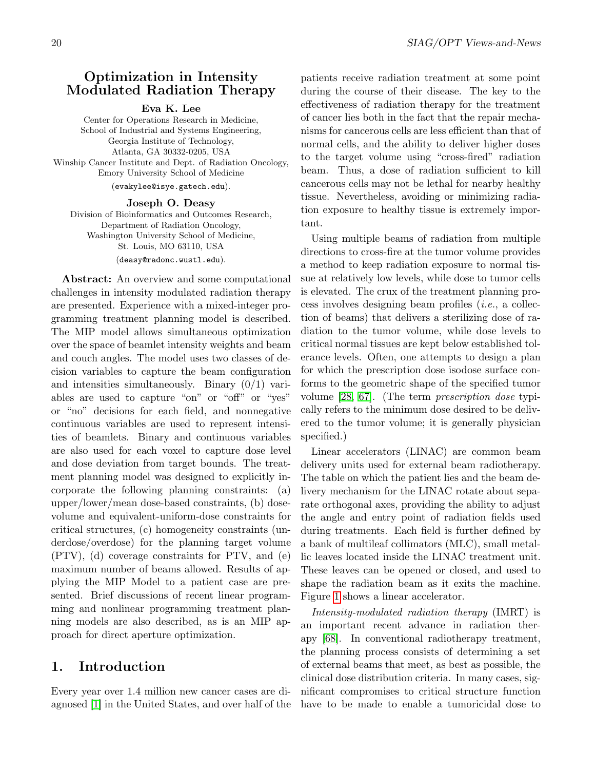## <span id="page-19-0"></span>Optimization in Intensity Modulated Radiation Therapy

#### Eva K. Lee

Center for Operations Research in Medicine, School of Industrial and Systems Engineering, Georgia Institute of Technology, Atlanta, GA 30332-0205, USA Winship Cancer Institute and Dept. of Radiation Oncology, Emory University School of Medicine

(evakylee@isye.gatech.edu).

#### Joseph O. Deasy Division of Bioinformatics and Outcomes Research, Department of Radiation Oncology, Washington University School of Medicine, St. Louis, MO 63110, USA (deasy@radonc.wustl.edu).

Abstract: An overview and some computational challenges in intensity modulated radiation therapy are presented. Experience with a mixed-integer programming treatment planning model is described. The MIP model allows simultaneous optimization over the space of beamlet intensity weights and beam and couch angles. The model uses two classes of decision variables to capture the beam configuration and intensities simultaneously. Binary  $(0/1)$  variables are used to capture "on" or "off" or "yes" or "no" decisions for each field, and nonnegative continuous variables are used to represent intensities of beamlets. Binary and continuous variables are also used for each voxel to capture dose level and dose deviation from target bounds. The treatment planning model was designed to explicitly incorporate the following planning constraints: (a) upper/lower/mean dose-based constraints, (b) dosevolume and equivalent-uniform-dose constraints for critical structures, (c) homogeneity constraints (underdose/overdose) for the planning target volume (PTV), (d) coverage constraints for PTV, and (e) maximum number of beams allowed. Results of applying the MIP Model to a patient case are presented. Brief discussions of recent linear programming and nonlinear programming treatment planning models are also described, as is an MIP approach for direct aperture optimization.

# 1. Introduction

Every year over 1.4 million new cancer cases are diagnosed [\[1\]](#page-28-0) in the United States, and over half of the patients receive radiation treatment at some point during the course of their disease. The key to the effectiveness of radiation therapy for the treatment of cancer lies both in the fact that the repair mechanisms for cancerous cells are less efficient than that of normal cells, and the ability to deliver higher doses to the target volume using "cross-fired" radiation beam. Thus, a dose of radiation sufficient to kill cancerous cells may not be lethal for nearby healthy tissue. Nevertheless, avoiding or minimizing radiation exposure to healthy tissue is extremely important.

Using multiple beams of radiation from multiple directions to cross-fire at the tumor volume provides a method to keep radiation exposure to normal tissue at relatively low levels, while dose to tumor cells is elevated. The crux of the treatment planning process involves designing beam profiles (i.e., a collection of beams) that delivers a sterilizing dose of radiation to the tumor volume, while dose levels to critical normal tissues are kept below established tolerance levels. Often, one attempts to design a plan for which the prescription dose isodose surface conforms to the geometric shape of the specified tumor volume [\[28,](#page-29-0) [67\]](#page-31-0). (The term prescription dose typically refers to the minimum dose desired to be delivered to the tumor volume; it is generally physician specified.)

Linear accelerators (LINAC) are common beam delivery units used for external beam radiotherapy. The table on which the patient lies and the beam delivery mechanism for the LINAC rotate about separate orthogonal axes, providing the ability to adjust the angle and entry point of radiation fields used during treatments. Each field is further defined by a bank of multileaf collimators (MLC), small metallic leaves located inside the LINAC treatment unit. These leaves can be opened or closed, and used to shape the radiation beam as it exits the machine. Figure [1](#page-15-0) shows a linear accelerator.

Intensity-modulated radiation therapy (IMRT) is an important recent advance in radiation therapy [\[68\]](#page-31-1). In conventional radiotherapy treatment, the planning process consists of determining a set of external beams that meet, as best as possible, the clinical dose distribution criteria. In many cases, significant compromises to critical structure function have to be made to enable a tumoricidal dose to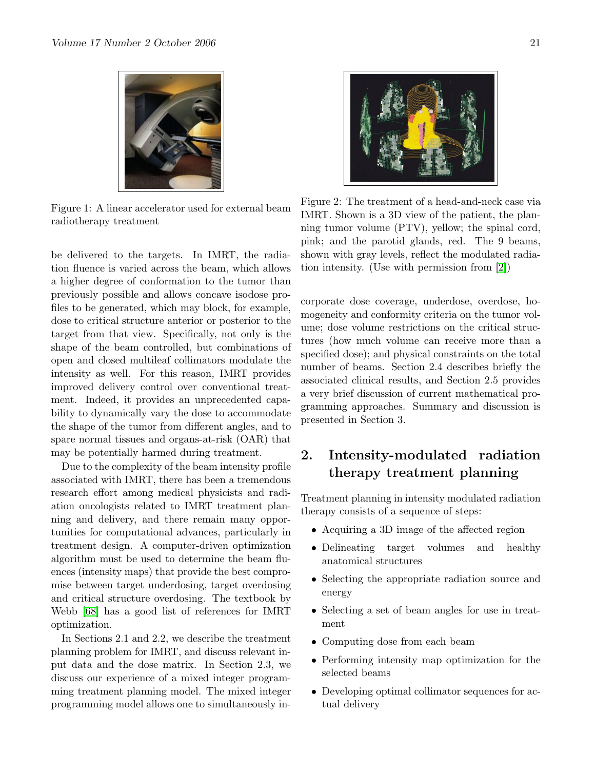

Figure 1: A linear accelerator used for external beam radiotherapy treatment

be delivered to the targets. In IMRT, the radiation fluence is varied across the beam, which allows a higher degree of conformation to the tumor than previously possible and allows concave isodose profiles to be generated, which may block, for example, dose to critical structure anterior or posterior to the target from that view. Specifically, not only is the shape of the beam controlled, but combinations of open and closed multileaf collimators modulate the intensity as well. For this reason, IMRT provides improved delivery control over conventional treatment. Indeed, it provides an unprecedented capability to dynamically vary the dose to accommodate the shape of the tumor from different angles, and to spare normal tissues and organs-at-risk (OAR) that may be potentially harmed during treatment.

Due to the complexity of the beam intensity profile associated with IMRT, there has been a tremendous research effort among medical physicists and radiation oncologists related to IMRT treatment planning and delivery, and there remain many opportunities for computational advances, particularly in treatment design. A computer-driven optimization algorithm must be used to determine the beam fluences (intensity maps) that provide the best compromise between target underdosing, target overdosing and critical structure overdosing. The textbook by Webb [\[68\]](#page-31-1) has a good list of references for IMRT optimization.

In Sections 2.1 and 2.2, we describe the treatment planning problem for IMRT, and discuss relevant input data and the dose matrix. In Section 2.3, we discuss our experience of a mixed integer programming treatment planning model. The mixed integer programming model allows one to simultaneously in-



Figure 2: The treatment of a head-and-neck case via IMRT. Shown is a 3D view of the patient, the planning tumor volume (PTV), yellow; the spinal cord, pink; and the parotid glands, red. The 9 beams, shown with gray levels, reflect the modulated radiation intensity. (Use with permission from [\[2\]](#page-28-1))

corporate dose coverage, underdose, overdose, homogeneity and conformity criteria on the tumor volume; dose volume restrictions on the critical structures (how much volume can receive more than a specified dose); and physical constraints on the total number of beams. Section 2.4 describes briefly the associated clinical results, and Section 2.5 provides a very brief discussion of current mathematical programming approaches. Summary and discussion is presented in Section 3.

# 2. Intensity-modulated radiation therapy treatment planning

Treatment planning in intensity modulated radiation therapy consists of a sequence of steps:

- Acquiring a 3D image of the affected region
- Delineating target volumes and healthy anatomical structures
- Selecting the appropriate radiation source and energy
- Selecting a set of beam angles for use in treatment
- Computing dose from each beam
- Performing intensity map optimization for the selected beams
- Developing optimal collimator sequences for actual delivery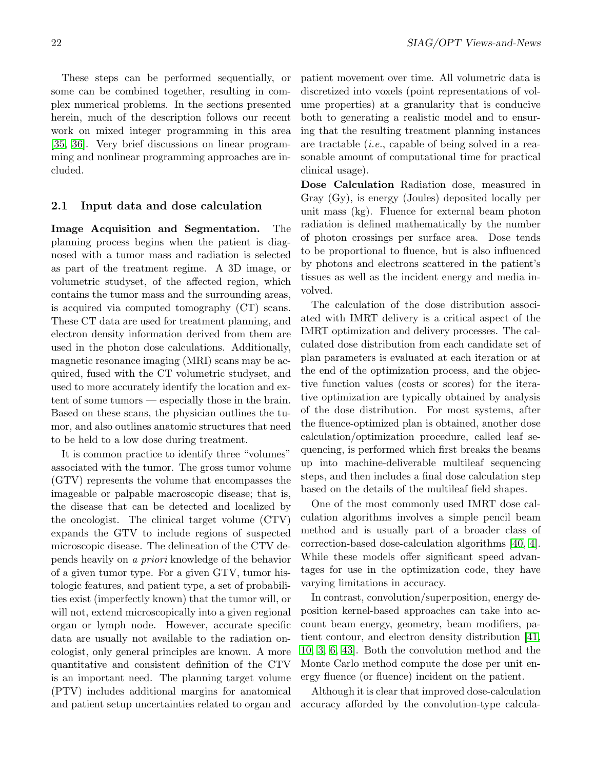These steps can be performed sequentially, or some can be combined together, resulting in complex numerical problems. In the sections presented herein, much of the description follows our recent work on mixed integer programming in this area [\[35,](#page-30-0) [36\]](#page-30-1). Very brief discussions on linear programming and nonlinear programming approaches are included.

# 2.1 Input data and dose calculation

Image Acquisition and Segmentation. The planning process begins when the patient is diagnosed with a tumor mass and radiation is selected as part of the treatment regime. A 3D image, or volumetric studyset, of the affected region, which contains the tumor mass and the surrounding areas, is acquired via computed tomography (CT) scans. These CT data are used for treatment planning, and electron density information derived from them are used in the photon dose calculations. Additionally, magnetic resonance imaging (MRI) scans may be acquired, fused with the CT volumetric studyset, and used to more accurately identify the location and extent of some tumors — especially those in the brain. Based on these scans, the physician outlines the tumor, and also outlines anatomic structures that need to be held to a low dose during treatment.

It is common practice to identify three "volumes" associated with the tumor. The gross tumor volume (GTV) represents the volume that encompasses the imageable or palpable macroscopic disease; that is, the disease that can be detected and localized by the oncologist. The clinical target volume (CTV) expands the GTV to include regions of suspected microscopic disease. The delineation of the CTV depends heavily on a priori knowledge of the behavior of a given tumor type. For a given GTV, tumor histologic features, and patient type, a set of probabilities exist (imperfectly known) that the tumor will, or will not, extend microscopically into a given regional organ or lymph node. However, accurate specific data are usually not available to the radiation oncologist, only general principles are known. A more quantitative and consistent definition of the CTV is an important need. The planning target volume (PTV) includes additional margins for anatomical and patient setup uncertainties related to organ and patient movement over time. All volumetric data is discretized into voxels (point representations of volume properties) at a granularity that is conducive both to generating a realistic model and to ensuring that the resulting treatment planning instances are tractable (i.e., capable of being solved in a reasonable amount of computational time for practical clinical usage).

Dose Calculation Radiation dose, measured in Gray (Gy), is energy (Joules) deposited locally per unit mass (kg). Fluence for external beam photon radiation is defined mathematically by the number of photon crossings per surface area. Dose tends to be proportional to fluence, but is also influenced by photons and electrons scattered in the patient's tissues as well as the incident energy and media involved.

The calculation of the dose distribution associated with IMRT delivery is a critical aspect of the IMRT optimization and delivery processes. The calculated dose distribution from each candidate set of plan parameters is evaluated at each iteration or at the end of the optimization process, and the objective function values (costs or scores) for the iterative optimization are typically obtained by analysis of the dose distribution. For most systems, after the fluence-optimized plan is obtained, another dose calculation/optimization procedure, called leaf sequencing, is performed which first breaks the beams up into machine-deliverable multileaf sequencing steps, and then includes a final dose calculation step based on the details of the multileaf field shapes.

One of the most commonly used IMRT dose calculation algorithms involves a simple pencil beam method and is usually part of a broader class of correction-based dose-calculation algorithms [\[40,](#page-30-2) [4\]](#page-28-2). While these models offer significant speed advantages for use in the optimization code, they have varying limitations in accuracy.

In contrast, convolution/superposition, energy deposition kernel-based approaches can take into account beam energy, geometry, beam modifiers, patient contour, and electron density distribution [\[41,](#page-30-3) [10,](#page-29-1) [3,](#page-28-3) [6,](#page-29-2) [43\]](#page-30-4). Both the convolution method and the Monte Carlo method compute the dose per unit energy fluence (or fluence) incident on the patient.

Although it is clear that improved dose-calculation accuracy afforded by the convolution-type calcula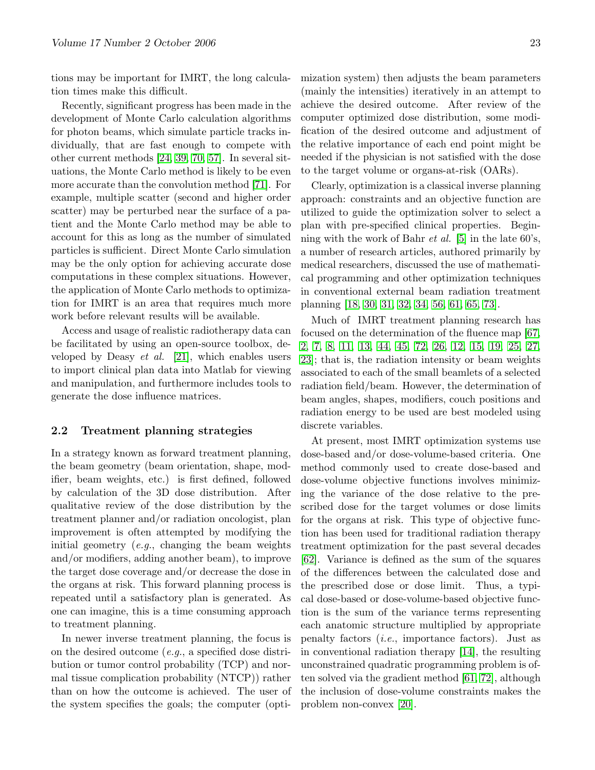tions may be important for IMRT, the long calculation times make this difficult.

Recently, significant progress has been made in the development of Monte Carlo calculation algorithms for photon beams, which simulate particle tracks individually, that are fast enough to compete with other current methods [\[24,](#page-29-3) [39,](#page-30-5) [70,](#page-31-2) [57\]](#page-31-3). In several situations, the Monte Carlo method is likely to be even more accurate than the convolution method [\[71\]](#page-31-4). For example, multiple scatter (second and higher order scatter) may be perturbed near the surface of a patient and the Monte Carlo method may be able to account for this as long as the number of simulated particles is sufficient. Direct Monte Carlo simulation may be the only option for achieving accurate dose computations in these complex situations. However, the application of Monte Carlo methods to optimization for IMRT is an area that requires much more work before relevant results will be available.

Access and usage of realistic radiotherapy data can be facilitated by using an open-source toolbox, developed by Deasy *et al.* [\[21\]](#page-29-4), which enables users to import clinical plan data into Matlab for viewing and manipulation, and furthermore includes tools to generate the dose influence matrices.

#### 2.2 Treatment planning strategies

In a strategy known as forward treatment planning, the beam geometry (beam orientation, shape, modifier, beam weights, etc.) is first defined, followed by calculation of the 3D dose distribution. After qualitative review of the dose distribution by the treatment planner and/or radiation oncologist, plan improvement is often attempted by modifying the initial geometry  $(e.g.,)$  changing the beam weights and/or modifiers, adding another beam), to improve the target dose coverage and/or decrease the dose in the organs at risk. This forward planning process is repeated until a satisfactory plan is generated. As one can imagine, this is a time consuming approach to treatment planning.

In newer inverse treatment planning, the focus is on the desired outcome (e.g., a specified dose distribution or tumor control probability (TCP) and normal tissue complication probability (NTCP)) rather than on how the outcome is achieved. The user of the system specifies the goals; the computer (optimization system) then adjusts the beam parameters (mainly the intensities) iteratively in an attempt to achieve the desired outcome. After review of the computer optimized dose distribution, some modification of the desired outcome and adjustment of the relative importance of each end point might be needed if the physician is not satisfied with the dose to the target volume or organs-at-risk (OARs).

Clearly, optimization is a classical inverse planning approach: constraints and an objective function are utilized to guide the optimization solver to select a plan with pre-specified clinical properties. Beginning with the work of Bahr *et al.* [\[5\]](#page-29-5) in the late  $60's$ , a number of research articles, authored primarily by medical researchers, discussed the use of mathematical programming and other optimization techniques in conventional external beam radiation treatment planning [\[18,](#page-29-6) [30,](#page-29-7) [31,](#page-30-6) [32,](#page-30-7) [34,](#page-30-8) [56,](#page-30-9) [61,](#page-31-5) [65,](#page-31-6) [73\]](#page-31-7).

Much of IMRT treatment planning research has focused on the determination of the fluence map [\[67,](#page-31-0) [2,](#page-28-1) [7,](#page-29-8) [8,](#page-29-9) [11,](#page-29-10) [13,](#page-29-11) [44,](#page-30-10) [45,](#page-30-11) [72,](#page-31-8) [26,](#page-29-12) [12,](#page-29-13) [15,](#page-29-14) [19,](#page-29-15) [25,](#page-29-16) [27,](#page-29-17) [23\]](#page-29-18); that is, the radiation intensity or beam weights associated to each of the small beamlets of a selected radiation field/beam. However, the determination of beam angles, shapes, modifiers, couch positions and radiation energy to be used are best modeled using discrete variables.

At present, most IMRT optimization systems use dose-based and/or dose-volume-based criteria. One method commonly used to create dose-based and dose-volume objective functions involves minimizing the variance of the dose relative to the prescribed dose for the target volumes or dose limits for the organs at risk. This type of objective function has been used for traditional radiation therapy treatment optimization for the past several decades [\[62\]](#page-31-9). Variance is defined as the sum of the squares of the differences between the calculated dose and the prescribed dose or dose limit. Thus, a typical dose-based or dose-volume-based objective function is the sum of the variance terms representing each anatomic structure multiplied by appropriate penalty factors (i.e., importance factors). Just as in conventional radiation therapy [\[14\]](#page-29-19), the resulting unconstrained quadratic programming problem is often solved via the gradient method [\[61,](#page-31-5) [72\]](#page-31-8), although the inclusion of dose-volume constraints makes the problem non-convex [\[20\]](#page-29-20).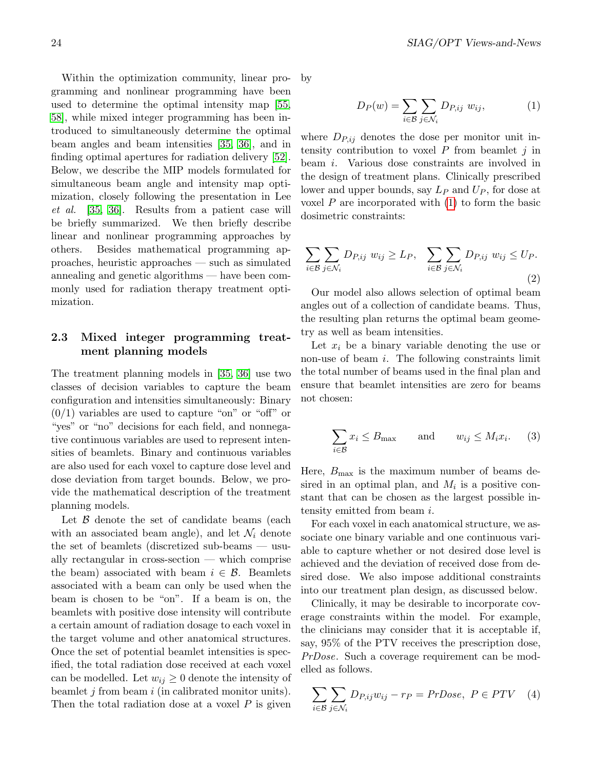Within the optimization community, linear programming and nonlinear programming have been used to determine the optimal intensity map [\[55,](#page-30-12) [58\]](#page-31-10), while mixed integer programming has been introduced to simultaneously determine the optimal beam angles and beam intensities [\[35,](#page-30-0) [36\]](#page-30-1), and in finding optimal apertures for radiation delivery [\[52\]](#page-30-13). Below, we describe the MIP models formulated for simultaneous beam angle and intensity map optimization, closely following the presentation in Lee et al. [\[35,](#page-30-0) [36\]](#page-30-1). Results from a patient case will be briefly summarized. We then briefly describe linear and nonlinear programming approaches by others. Besides mathematical programming approaches, heuristic approaches — such as simulated annealing and genetic algorithms — have been commonly used for radiation therapy treatment optimization.

### 2.3 Mixed integer programming treatment planning models

The treatment planning models in [\[35,](#page-30-0) [36\]](#page-30-1) use two classes of decision variables to capture the beam configuration and intensities simultaneously: Binary  $(0/1)$  variables are used to capture "on" or "off" or "yes" or "no" decisions for each field, and nonnegative continuous variables are used to represent intensities of beamlets. Binary and continuous variables are also used for each voxel to capture dose level and dose deviation from target bounds. Below, we provide the mathematical description of the treatment planning models.

Let  $\beta$  denote the set of candidate beams (each with an associated beam angle), and let  $\mathcal{N}_i$  denote the set of beamlets (discretized sub-beams — usually rectangular in cross-section — which comprise the beam) associated with beam  $i \in \mathcal{B}$ . Beamlets associated with a beam can only be used when the beam is chosen to be "on". If a beam is on, the beamlets with positive dose intensity will contribute a certain amount of radiation dosage to each voxel in the target volume and other anatomical structures. Once the set of potential beamlet intensities is specified, the total radiation dose received at each voxel can be modelled. Let  $w_{ij} \geq 0$  denote the intensity of beamlet  $j$  from beam  $i$  (in calibrated monitor units). Then the total radiation dose at a voxel  $P$  is given by

$$
D_P(w) = \sum_{i \in \mathcal{B}} \sum_{j \in \mathcal{N}_i} D_{P,ij} w_{ij}, \qquad (1)
$$

where  $D_{P,ij}$  denotes the dose per monitor unit intensity contribution to voxel  $P$  from beamlet  $j$  in beam i. Various dose constraints are involved in the design of treatment plans. Clinically prescribed lower and upper bounds, say  $L_P$  and  $U_P$ , for dose at voxel  $P$  are incorporated with  $(1)$  to form the basic dosimetric constraints:

$$
\sum_{i \in \mathcal{B}} \sum_{j \in \mathcal{N}_i} D_{P,ij} \ w_{ij} \ge L_P, \quad \sum_{i \in \mathcal{B}} \sum_{j \in \mathcal{N}_i} D_{P,ij} \ w_{ij} \le U_P.
$$
\n
$$
(2)
$$

Our model also allows selection of optimal beam angles out of a collection of candidate beams. Thus, the resulting plan returns the optimal beam geometry as well as beam intensities.

Let  $x_i$  be a binary variable denoting the use or non-use of beam i. The following constraints limit the total number of beams used in the final plan and ensure that beamlet intensities are zero for beams not chosen:

$$
\sum_{i \in \mathcal{B}} x_i \le B_{\text{max}} \quad \text{and} \quad w_{ij} \le M_i x_i. \quad (3)
$$

Here,  $B_{\text{max}}$  is the maximum number of beams desired in an optimal plan, and  $M_i$  is a positive constant that can be chosen as the largest possible intensity emitted from beam i.

For each voxel in each anatomical structure, we associate one binary variable and one continuous variable to capture whether or not desired dose level is achieved and the deviation of received dose from desired dose. We also impose additional constraints into our treatment plan design, as discussed below.

Clinically, it may be desirable to incorporate coverage constraints within the model. For example, the clinicians may consider that it is acceptable if, say, 95% of the PTV receives the prescription dose, PrDose. Such a coverage requirement can be modelled as follows.

$$
\sum_{i \in \mathcal{B}} \sum_{j \in \mathcal{N}_i} D_{P,ij} w_{ij} - r_P = PrDose, \ P \in PTV \quad (4)
$$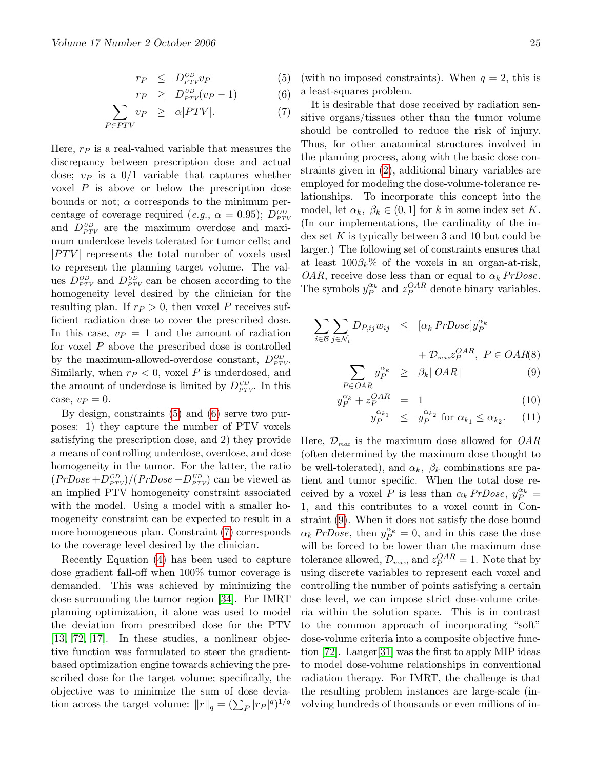$$
r_P \leq D_{PTV}^{OD} v_P \tag{5}
$$

$$
r_P \geq D_{PTV}^{UD}(v_P - 1) \tag{6}
$$

$$
\sum_{P \in PTV} v_P \geq \alpha |PTV|.
$$
 (7)

Here,  $r_P$  is a real-valued variable that measures the discrepancy between prescription dose and actual dose;  $v_P$  is a  $0/1$  variable that captures whether voxel P is above or below the prescription dose bounds or not;  $\alpha$  corresponds to the minimum percentage of coverage required (*e.g.*,  $\alpha = 0.95$ );  $D_{PTV}^{OD}$ and  $D_{PTV}^{UD}$  are the maximum overdose and maximum underdose levels tolerated for tumor cells; and  $|PTV|$  represents the total number of voxels used to represent the planning target volume. The values  $D_{PTV}^{OD}$  and  $D_{PTV}^{UD}$  can be chosen according to the homogeneity level desired by the clinician for the resulting plan. If  $r_P > 0$ , then voxel P receives sufficient radiation dose to cover the prescribed dose. In this case,  $v_P = 1$  and the amount of radiation for voxel  $P$  above the prescribed dose is controlled by the maximum-allowed-overdose constant,  $D_{PTV}^{OD}$ . Similarly, when  $r_P < 0$ , voxel P is underdosed, and the amount of underdose is limited by  $D_{PTV}^{UD}$ . In this case,  $v_P = 0$ .

By design, constraints [\(5\)](#page-3-0) and [\(6\)](#page-3-0) serve two purposes: 1) they capture the number of PTV voxels satisfying the prescription dose, and 2) they provide a means of controlling underdose, overdose, and dose homogeneity in the tumor. For the latter, the ratio  $(PrDose + D<sub>PTV</sub><sup>OD</sup>)/(PrDose - D<sub>PTV</sub><sup>UD</sup>)$  can be viewed as an implied PTV homogeneity constraint associated with the model. Using a model with a smaller homogeneity constraint can be expected to result in a more homogeneous plan. Constraint [\(7\)](#page-3-0) corresponds to the coverage level desired by the clinician.

Recently Equation [\(4\)](#page-2-2) has been used to capture dose gradient fall-off when 100% tumor coverage is demanded. This was achieved by minimizing the dose surrounding the tumor region [\[34\]](#page-30-8). For IMRT planning optimization, it alone was used to model the deviation from prescribed dose for the PTV [\[13,](#page-29-11) [72,](#page-31-8) [17\]](#page-29-21). In these studies, a nonlinear objective function was formulated to steer the gradientbased optimization engine towards achieving the prescribed dose for the target volume; specifically, the objective was to minimize the sum of dose deviation across the target volume:  $||r||_q = (\sum_P |r_P|^q)^{1/q}$ 

(with no imposed constraints). When  $q = 2$ , this is a least-squares problem.

It is desirable that dose received by radiation sensitive organs/tissues other than the tumor volume should be controlled to reduce the risk of injury. Thus, for other anatomical structures involved in the planning process, along with the basic dose constraints given in [\(2\)](#page-2-0), additional binary variables are employed for modeling the dose-volume-tolerance relationships. To incorporate this concept into the model, let  $\alpha_k$ ,  $\beta_k \in (0,1]$  for k in some index set K. (In our implementations, the cardinality of the in- $\det K$  is typically between 3 and 10 but could be larger.) The following set of constraints ensures that at least  $100\beta_k\%$  of the voxels in an organ-at-risk, *OAR*, receive dose less than or equal to  $\alpha_k$  *PrDose*. The symbols  $y_P^{\alpha_k}$  and  $z_P^{OAR}$  denote binary variables.

<span id="page-24-0"></span>
$$
\sum_{i \in \mathcal{B}} \sum_{j \in \mathcal{N}_i} D_{P,ij} w_{ij} \leq [\alpha_k \Pr{Dose}] y_P^{\alpha_k} + \mathcal{D}_{max} z_P^{OAR}, \ P \in OAR(8) \sum_{P \in OAR} y_P^{\alpha_k} \geq \beta_k | OAR | \tag{9}
$$

$$
y_P^{\alpha_k} + z_P^{OAR} = 1 \tag{10}
$$

$$
y_P^{\alpha_{k_1}} \leq y_P^{\alpha_{k_2}} \text{ for } \alpha_{k_1} \leq \alpha_{k_2}. \qquad (11)
$$

Here,  $\mathcal{D}_{max}$  is the maximum dose allowed for  $OAR$ (often determined by the maximum dose thought to be well-tolerated), and  $\alpha_k$ ,  $\beta_k$  combinations are patient and tumor specific. When the total dose received by a voxel P is less than  $\alpha_k$  PrDose,  $y_P^{\alpha_k}$  = 1, and this contributes to a voxel count in Constraint [\(9\)](#page-24-0). When it does not satisfy the dose bound  $\alpha_k$  PrDose, then  $y_P^{\alpha_k} = 0$ , and in this case the dose will be forced to be lower than the maximum dose tolerance allowed,  $\mathcal{D}_{max}$ , and  $z_P^{OAR} = 1$ . Note that by using discrete variables to represent each voxel and controlling the number of points satisfying a certain dose level, we can impose strict dose-volume criteria within the solution space. This is in contrast to the common approach of incorporating "soft" dose-volume criteria into a composite objective function [\[72\]](#page-31-8). Langer[\[31\]](#page-30-6) was the first to apply MIP ideas to model dose-volume relationships in conventional radiation therapy. For IMRT, the challenge is that the resulting problem instances are large-scale (involving hundreds of thousands or even millions of in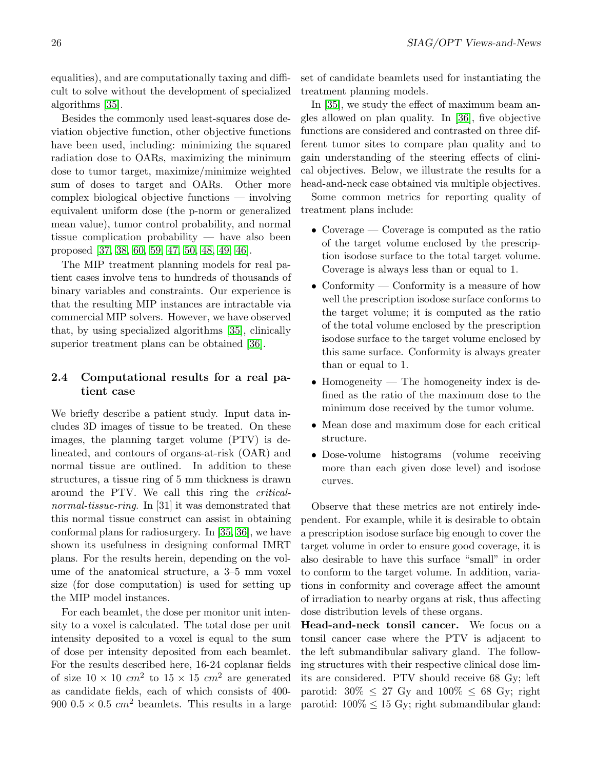equalities), and are computationally taxing and difficult to solve without the development of specialized algorithms [\[35\]](#page-30-0).

Besides the commonly used least-squares dose deviation objective function, other objective functions have been used, including: minimizing the squared radiation dose to OARs, maximizing the minimum dose to tumor target, maximize/minimize weighted sum of doses to target and OARs. Other more complex biological objective functions — involving equivalent uniform dose (the p-norm or generalized mean value), tumor control probability, and normal tissue complication probability — have also been proposed [\[37,](#page-30-14) [38,](#page-30-15) [60,](#page-31-11) [59,](#page-31-12) [47,](#page-30-16) [50,](#page-30-17) [48,](#page-30-18) [49,](#page-30-19) [46\]](#page-30-20).

The MIP treatment planning models for real patient cases involve tens to hundreds of thousands of binary variables and constraints. Our experience is that the resulting MIP instances are intractable via commercial MIP solvers. However, we have observed that, by using specialized algorithms [\[35\]](#page-30-0), clinically superior treatment plans can be obtained [\[36\]](#page-30-1).

## 2.4 Computational results for a real patient case

We briefly describe a patient study. Input data includes 3D images of tissue to be treated. On these images, the planning target volume (PTV) is delineated, and contours of organs-at-risk (OAR) and normal tissue are outlined. In addition to these structures, a tissue ring of 5 mm thickness is drawn around the PTV. We call this ring the criticalnormal-tissue-ring. In [31] it was demonstrated that this normal tissue construct can assist in obtaining conformal plans for radiosurgery. In [\[35,](#page-30-0) [36\]](#page-30-1), we have shown its usefulness in designing conformal IMRT plans. For the results herein, depending on the volume of the anatomical structure, a 3–5 mm voxel size (for dose computation) is used for setting up the MIP model instances.

For each beamlet, the dose per monitor unit intensity to a voxel is calculated. The total dose per unit intensity deposited to a voxel is equal to the sum of dose per intensity deposited from each beamlet. For the results described here, 16-24 coplanar fields of size  $10 \times 10$  cm<sup>2</sup> to  $15 \times 15$  cm<sup>2</sup> are generated as candidate fields, each of which consists of 400- 900 0.5  $\times$  0.5 cm<sup>2</sup> beamlets. This results in a large set of candidate beamlets used for instantiating the treatment planning models.

In [\[35\]](#page-30-0), we study the effect of maximum beam angles allowed on plan quality. In [\[36\]](#page-30-1), five objective functions are considered and contrasted on three different tumor sites to compare plan quality and to gain understanding of the steering effects of clinical objectives. Below, we illustrate the results for a head-and-neck case obtained via multiple objectives.

Some common metrics for reporting quality of treatment plans include:

- Coverage Coverage is computed as the ratio of the target volume enclosed by the prescription isodose surface to the total target volume. Coverage is always less than or equal to 1.
- Conformity Conformity is a measure of how well the prescription isodose surface conforms to the target volume; it is computed as the ratio of the total volume enclosed by the prescription isodose surface to the target volume enclosed by this same surface. Conformity is always greater than or equal to 1.
- Homogeneity The homogeneity index is defined as the ratio of the maximum dose to the minimum dose received by the tumor volume.
- Mean dose and maximum dose for each critical structure.
- Dose-volume histograms (volume receiving more than each given dose level) and isodose curves.

Observe that these metrics are not entirely independent. For example, while it is desirable to obtain a prescription isodose surface big enough to cover the target volume in order to ensure good coverage, it is also desirable to have this surface "small" in order to conform to the target volume. In addition, variations in conformity and coverage affect the amount of irradiation to nearby organs at risk, thus affecting dose distribution levels of these organs.

Head-and-neck tonsil cancer. We focus on a tonsil cancer case where the PTV is adjacent to the left submandibular salivary gland. The following structures with their respective clinical dose limits are considered. PTV should receive 68 Gy; left parotid:  $30\% \leq 27$  Gy and  $100\% \leq 68$  Gy; right parotid:  $100\% \leq 15$  Gy; right submandibular gland: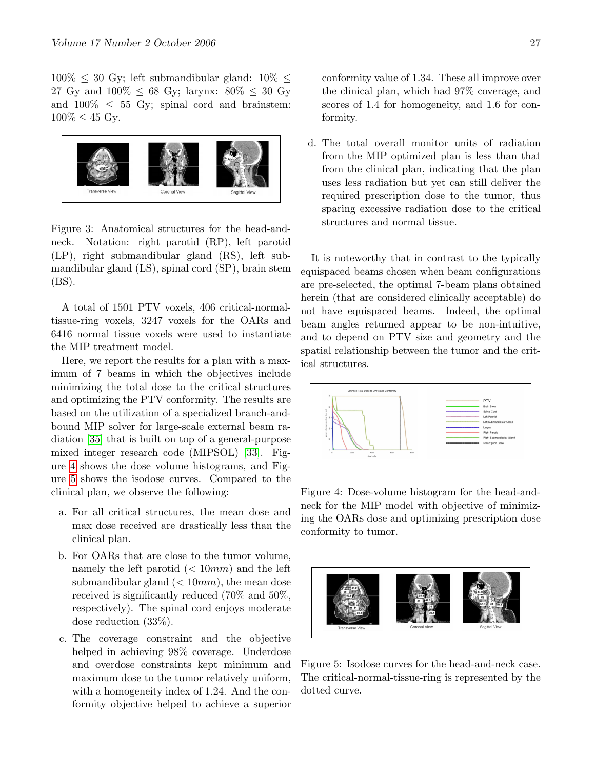$100\% \leq 30$  Gy; left submandibular gland:  $10\% \leq$ 27 Gy and  $100\% \le 68$  Gy; larynx:  $80\% \le 30$  Gy and  $100\% \leq 55$  Gy; spinal cord and brainstem:  $100\% \leq 45$  Gy.



Figure 3: Anatomical structures for the head-andneck. Notation: right parotid (RP), left parotid (LP), right submandibular gland (RS), left submandibular gland (LS), spinal cord (SP), brain stem (BS).

A total of 1501 PTV voxels, 406 critical-normaltissue-ring voxels, 3247 voxels for the OARs and 6416 normal tissue voxels were used to instantiate the MIP treatment model.

Here, we report the results for a plan with a maximum of 7 beams in which the objectives include minimizing the total dose to the critical structures and optimizing the PTV conformity. The results are based on the utilization of a specialized branch-andbound MIP solver for large-scale external beam radiation [\[35\]](#page-30-0) that is built on top of a general-purpose mixed integer research code (MIPSOL) [\[33\]](#page-30-21). Figure [4](#page-26-0) shows the dose volume histograms, and Figure [5](#page-26-1) shows the isodose curves. Compared to the clinical plan, we observe the following:

- a. For all critical structures, the mean dose and max dose received are drastically less than the clinical plan.
- b. For OARs that are close to the tumor volume, namely the left parotid  $\left( < 10mm \right)$  and the left submandibular gland  $( $10mm$ ), the mean dose$ received is significantly reduced (70% and 50%, respectively). The spinal cord enjoys moderate dose reduction (33%).
- c. The coverage constraint and the objective helped in achieving 98% coverage. Underdose and overdose constraints kept minimum and maximum dose to the tumor relatively uniform, with a homogeneity index of 1.24. And the conformity objective helped to achieve a superior

conformity value of 1.34. These all improve over the clinical plan, which had 97% coverage, and scores of 1.4 for homogeneity, and 1.6 for conformity.

d. The total overall monitor units of radiation from the MIP optimized plan is less than that from the clinical plan, indicating that the plan uses less radiation but yet can still deliver the required prescription dose to the tumor, thus sparing excessive radiation dose to the critical structures and normal tissue.

It is noteworthy that in contrast to the typically equispaced beams chosen when beam configurations are pre-selected, the optimal 7-beam plans obtained herein (that are considered clinically acceptable) do not have equispaced beams. Indeed, the optimal beam angles returned appear to be non-intuitive, and to depend on PTV size and geometry and the spatial relationship between the tumor and the critical structures.



<span id="page-26-0"></span>Figure 4: Dose-volume histogram for the head-andneck for the MIP model with objective of minimizing the OARs dose and optimizing prescription dose conformity to tumor.

<span id="page-26-1"></span>

Figure 5: Isodose curves for the head-and-neck case. The critical-normal-tissue-ring is represented by the dotted curve.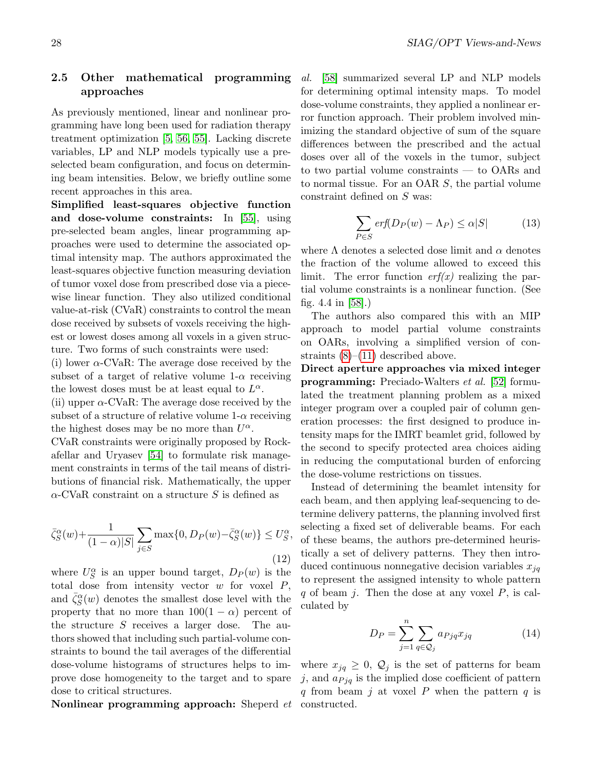### 2.5 Other mathematical programming approaches

As previously mentioned, linear and nonlinear programming have long been used for radiation therapy treatment optimization [\[5,](#page-29-5) [56,](#page-30-9) [55\]](#page-30-12). Lacking discrete variables, LP and NLP models typically use a preselected beam configuration, and focus on determining beam intensities. Below, we briefly outline some recent approaches in this area.

Simplified least-squares objective function and dose-volume constraints: In [\[55\]](#page-30-12), using pre-selected beam angles, linear programming approaches were used to determine the associated optimal intensity map. The authors approximated the least-squares objective function measuring deviation of tumor voxel dose from prescribed dose via a piecewise linear function. They also utilized conditional value-at-risk (CVaR) constraints to control the mean dose received by subsets of voxels receiving the highest or lowest doses among all voxels in a given structure. Two forms of such constraints were used:

(i) lower  $\alpha$ -CVaR: The average dose received by the subset of a target of relative volume  $1-\alpha$  receiving the lowest doses must be at least equal to  $L^{\alpha}$ .

(ii) upper  $\alpha$ -CVaR: The average dose received by the subset of a structure of relative volume  $1-\alpha$  receiving the highest doses may be no more than  $U^{\alpha}$ .

CVaR constraints were originally proposed by Rockafellar and Uryasev [\[54\]](#page-30-22) to formulate risk management constraints in terms of the tail means of distributions of financial risk. Mathematically, the upper  $\alpha$ -CVaR constraint on a structure S is defined as

$$
\bar{\zeta}_S^{\alpha}(w) + \frac{1}{(1-\alpha)|S|} \sum_{j \in S} \max\{0, D_P(w) - \bar{\zeta}_S^{\alpha}(w)\} \le U_S^{\alpha},\tag{12}
$$

where  $U_S^{\alpha}$  is an upper bound target,  $D_P(w)$  is the total dose from intensity vector  $w$  for voxel  $P$ , and  $\bar{\zeta}_S^{\alpha}(w)$  denotes the smallest dose level with the property that no more than  $100(1 - \alpha)$  percent of the structure  $S$  receives a larger dose. The authors showed that including such partial-volume constraints to bound the tail averages of the differential dose-volume histograms of structures helps to improve dose homogeneity to the target and to spare dose to critical structures.

Nonlinear programming approach: Sheperd et

al. [\[58\]](#page-31-10) summarized several LP and NLP models for determining optimal intensity maps. To model dose-volume constraints, they applied a nonlinear error function approach. Their problem involved minimizing the standard objective of sum of the square differences between the prescribed and the actual doses over all of the voxels in the tumor, subject to two partial volume constraints — to OARs and to normal tissue. For an OAR S, the partial volume constraint defined on S was:

$$
\sum_{P \in S} erf(D_P(w) - \Lambda_P) \le \alpha |S| \tag{13}
$$

where  $\Lambda$  denotes a selected dose limit and  $\alpha$  denotes the fraction of the volume allowed to exceed this limit. The error function  $erf(x)$  realizing the partial volume constraints is a nonlinear function. (See fig. 4.4 in [\[58\]](#page-31-10).)

The authors also compared this with an MIP approach to model partial volume constraints on OARs, involving a simplified version of constraints  $(8)$ – $(11)$  described above.

Direct aperture approaches via mixed integer **programming:** Preciado-Walters *et al.* [\[52\]](#page-30-13) formulated the treatment planning problem as a mixed integer program over a coupled pair of column generation processes: the first designed to produce intensity maps for the IMRT beamlet grid, followed by the second to specify protected area choices aiding in reducing the computational burden of enforcing the dose-volume restrictions on tissues.

Instead of determining the beamlet intensity for each beam, and then applying leaf-sequencing to determine delivery patterns, the planning involved first selecting a fixed set of deliverable beams. For each of these beams, the authors pre-determined heuristically a set of delivery patterns. They then introduced continuous nonnegative decision variables  $x_{jq}$ to represent the assigned intensity to whole pattern q of beam j. Then the dose at any voxel  $P$ , is calculated by

$$
D_P = \sum_{j=1}^{n} \sum_{q \in \mathcal{Q}_j} a_{Pjq} x_{jq} \tag{14}
$$

where  $x_{jq} \geq 0$ ,  $\mathcal{Q}_j$  is the set of patterns for beam j, and  $a_{Pjq}$  is the implied dose coefficient of pattern q from beam j at voxel  $P$  when the pattern  $q$  is constructed.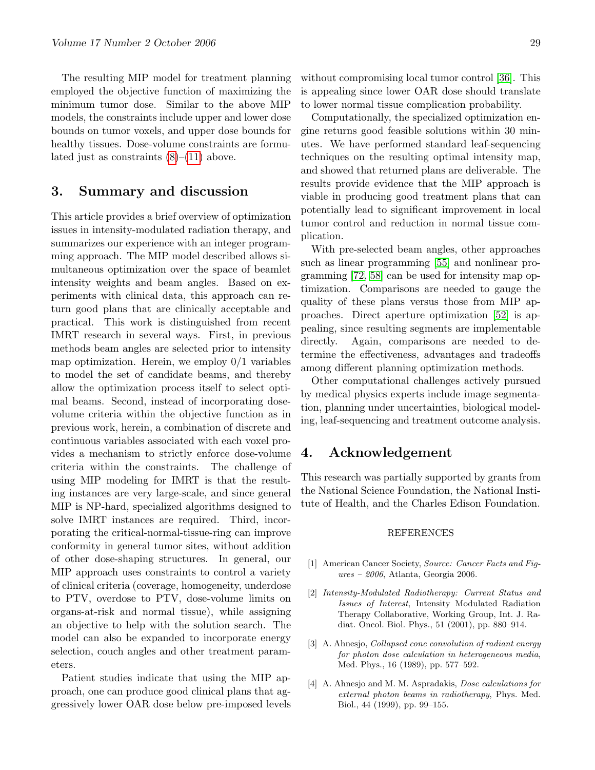The resulting MIP model for treatment planning employed the objective function of maximizing the minimum tumor dose. Similar to the above MIP models, the constraints include upper and lower dose bounds on tumor voxels, and upper dose bounds for healthy tissues. Dose-volume constraints are formulated just as constraints  $(8)$ – $(11)$  above.

# 3. Summary and discussion

This article provides a brief overview of optimization issues in intensity-modulated radiation therapy, and summarizes our experience with an integer programming approach. The MIP model described allows simultaneous optimization over the space of beamlet intensity weights and beam angles. Based on experiments with clinical data, this approach can return good plans that are clinically acceptable and practical. This work is distinguished from recent IMRT research in several ways. First, in previous methods beam angles are selected prior to intensity map optimization. Herein, we employ  $0/1$  variables to model the set of candidate beams, and thereby allow the optimization process itself to select optimal beams. Second, instead of incorporating dosevolume criteria within the objective function as in previous work, herein, a combination of discrete and continuous variables associated with each voxel provides a mechanism to strictly enforce dose-volume criteria within the constraints. The challenge of using MIP modeling for IMRT is that the resulting instances are very large-scale, and since general MIP is NP-hard, specialized algorithms designed to solve IMRT instances are required. Third, incorporating the critical-normal-tissue-ring can improve conformity in general tumor sites, without addition of other dose-shaping structures. In general, our MIP approach uses constraints to control a variety of clinical criteria (coverage, homogeneity, underdose to PTV, overdose to PTV, dose-volume limits on organs-at-risk and normal tissue), while assigning an objective to help with the solution search. The model can also be expanded to incorporate energy selection, couch angles and other treatment parameters.

Patient studies indicate that using the MIP approach, one can produce good clinical plans that aggressively lower OAR dose below pre-imposed levels without compromising local tumor control [\[36\]](#page-30-1). This is appealing since lower OAR dose should translate to lower normal tissue complication probability.

Computationally, the specialized optimization engine returns good feasible solutions within 30 minutes. We have performed standard leaf-sequencing techniques on the resulting optimal intensity map, and showed that returned plans are deliverable. The results provide evidence that the MIP approach is viable in producing good treatment plans that can potentially lead to significant improvement in local tumor control and reduction in normal tissue complication.

With pre-selected beam angles, other approaches such as linear programming [\[55\]](#page-30-12) and nonlinear programming [\[72,](#page-31-8) [58\]](#page-31-10) can be used for intensity map optimization. Comparisons are needed to gauge the quality of these plans versus those from MIP approaches. Direct aperture optimization [\[52\]](#page-30-13) is appealing, since resulting segments are implementable directly. Again, comparisons are needed to determine the effectiveness, advantages and tradeoffs among different planning optimization methods.

Other computational challenges actively pursued by medical physics experts include image segmentation, planning under uncertainties, biological modeling, leaf-sequencing and treatment outcome analysis.

### 4. Acknowledgement

This research was partially supported by grants from the National Science Foundation, the National Institute of Health, and the Charles Edison Foundation.

#### REFERENCES

- <span id="page-28-0"></span>[1] American Cancer Society, Source: Cancer Facts and Figures – 2006, Atlanta, Georgia 2006.
- <span id="page-28-1"></span>[2] Intensity-Modulated Radiotherapy: Current Status and Issues of Interest, Intensity Modulated Radiation Therapy Collaborative, Working Group, Int. J. Radiat. Oncol. Biol. Phys., 51 (2001), pp. 880–914.
- <span id="page-28-3"></span>[3] A. Ahnesjo, Collapsed cone convolution of radiant energy for photon dose calculation in heterogeneous media, Med. Phys., 16 (1989), pp. 577–592.
- <span id="page-28-2"></span>[4] A. Ahnesjo and M. M. Aspradakis, Dose calculations for external photon beams in radiotherapy, Phys. Med. Biol., 44 (1999), pp. 99–155.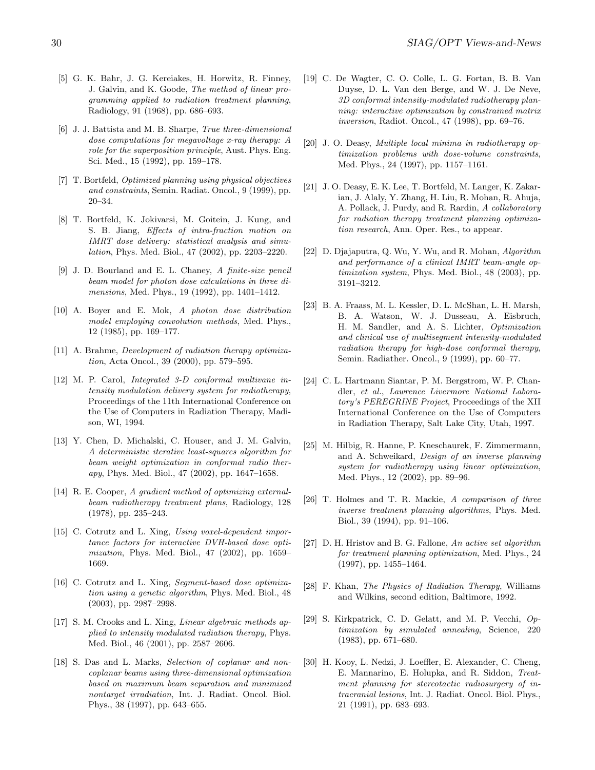- <span id="page-29-5"></span>[5] G. K. Bahr, J. G. Kereiakes, H. Horwitz, R. Finney, J. Galvin, and K. Goode, The method of linear programming applied to radiation treatment planning, Radiology, 91 (1968), pp. 686–693.
- <span id="page-29-2"></span>[6] J. J. Battista and M. B. Sharpe, True three-dimensional dose computations for megavoltage x-ray therapy: A role for the superposition principle, Aust. Phys. Eng. Sci. Med., 15 (1992), pp. 159–178.
- <span id="page-29-8"></span>[7] T. Bortfeld, Optimized planning using physical objectives and constraints, Semin. Radiat. Oncol., 9 (1999), pp. 20–34.
- <span id="page-29-9"></span>[8] T. Bortfeld, K. Jokivarsi, M. Goitein, J. Kung, and S. B. Jiang, Effects of intra-fraction motion on IMRT dose delivery: statistical analysis and simulation, Phys. Med. Biol., 47 (2002), pp. 2203–2220.
- [9] J. D. Bourland and E. L. Chaney, A finite-size pencil beam model for photon dose calculations in three dimensions, Med. Phys., 19 (1992), pp. 1401–1412.
- <span id="page-29-1"></span>[10] A. Boyer and E. Mok, A photon dose distribution model employing convolution methods, Med. Phys., 12 (1985), pp. 169–177.
- <span id="page-29-10"></span>[11] A. Brahme, *Development of radiation therapy optimiza*tion, Acta Oncol., 39 (2000), pp. 579–595.
- <span id="page-29-13"></span>[12] M. P. Carol, Integrated 3-D conformal multivane intensity modulation delivery system for radiotherapy, Proceedings of the 11th International Conference on the Use of Computers in Radiation Therapy, Madison, WI, 1994.
- <span id="page-29-11"></span>[13] Y. Chen, D. Michalski, C. Houser, and J. M. Galvin, A deterministic iterative least-squares algorithm for beam weight optimization in conformal radio therapy, Phys. Med. Biol., 47 (2002), pp. 1647–1658.
- <span id="page-29-19"></span>[14] R. E. Cooper, A gradient method of optimizing externalbeam radiotherapy treatment plans, Radiology, 128 (1978), pp. 235–243.
- <span id="page-29-14"></span>[15] C. Cotrutz and L. Xing, Using voxel-dependent importance factors for interactive DVH-based dose optimization, Phys. Med. Biol., 47 (2002), pp. 1659– 1669.
- [16] C. Cotrutz and L. Xing, Segment-based dose optimization using a genetic algorithm, Phys. Med. Biol., 48 (2003), pp. 2987–2998.
- <span id="page-29-21"></span>[17] S. M. Crooks and L. Xing, *Linear algebraic methods ap*plied to intensity modulated radiation therapy, Phys. Med. Biol., 46 (2001), pp. 2587–2606.
- <span id="page-29-6"></span>[18] S. Das and L. Marks, Selection of coplanar and noncoplanar beams using three-dimensional optimization based on maximum beam separation and minimized nontarget irradiation, Int. J. Radiat. Oncol. Biol. Phys., 38 (1997), pp. 643–655.
- <span id="page-29-15"></span>[19] C. De Wagter, C. O. Colle, L. G. Fortan, B. B. Van Duyse, D. L. Van den Berge, and W. J. De Neve, 3D conformal intensity-modulated radiotherapy planning: interactive optimization by constrained matrix inversion, Radiot. Oncol., 47 (1998), pp. 69–76.
- <span id="page-29-20"></span>[20] J. O. Deasy, *Multiple local minima in radiotherapy op*timization problems with dose-volume constraints, Med. Phys., 24 (1997), pp. 1157–1161.
- <span id="page-29-4"></span>[21] J. O. Deasy, E. K. Lee, T. Bortfeld, M. Langer, K. Zakarian, J. Alaly, Y. Zhang, H. Liu, R. Mohan, R. Ahuja, A. Pollack, J. Purdy, and R. Rardin, A collaboratory for radiation therapy treatment planning optimization research, Ann. Oper. Res., to appear.
- [22] D. Djajaputra, Q. Wu, Y. Wu, and R. Mohan, Algorithm and performance of a clinical IMRT beam-angle optimization system, Phys. Med. Biol., 48 (2003), pp. 3191–3212.
- <span id="page-29-18"></span>[23] B. A. Fraass, M. L. Kessler, D. L. McShan, L. H. Marsh, B. A. Watson, W. J. Dusseau, A. Eisbruch, H. M. Sandler, and A. S. Lichter, Optimization and clinical use of multisegment intensity-modulated radiation therapy for high-dose conformal therapy, Semin. Radiather. Oncol., 9 (1999), pp. 60–77.
- <span id="page-29-3"></span>[24] C. L. Hartmann Siantar, P. M. Bergstrom, W. P. Chandler, et al., Lawrence Livermore National Laboratory's PEREGRINE Project, Proceedings of the XII International Conference on the Use of Computers in Radiation Therapy, Salt Lake City, Utah, 1997.
- <span id="page-29-16"></span>[25] M. Hilbig, R. Hanne, P. Kneschaurek, F. Zimmermann, and A. Schweikard, Design of an inverse planning system for radiotherapy using linear optimization, Med. Phys., 12 (2002), pp. 89–96.
- <span id="page-29-12"></span>[26] T. Holmes and T. R. Mackie, A comparison of three inverse treatment planning algorithms, Phys. Med. Biol., 39 (1994), pp. 91–106.
- <span id="page-29-17"></span>[27] D. H. Hristov and B. G. Fallone, An active set algorithm for treatment planning optimization, Med. Phys., 24 (1997), pp. 1455–1464.
- <span id="page-29-0"></span>[28] F. Khan, The Physics of Radiation Therapy, Williams and Wilkins, second edition, Baltimore, 1992.
- [29] S. Kirkpatrick, C. D. Gelatt, and M. P. Vecchi, Optimization by simulated annealing, Science, 220 (1983), pp. 671–680.
- <span id="page-29-7"></span>[30] H. Kooy, L. Nedzi, J. Loeffler, E. Alexander, C. Cheng, E. Mannarino, E. Holupka, and R. Siddon, Treatment planning for stereotactic radiosurgery of intracranial lesions, Int. J. Radiat. Oncol. Biol. Phys., 21 (1991), pp. 683–693.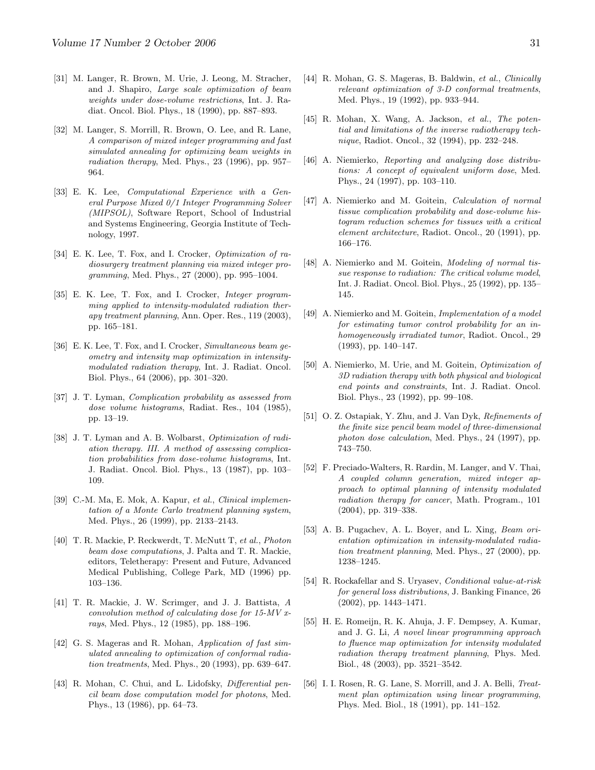- <span id="page-30-6"></span>[31] M. Langer, R. Brown, M. Urie, J. Leong, M. Stracher, and J. Shapiro, Large scale optimization of beam weights under dose-volume restrictions, Int. J. Radiat. Oncol. Biol. Phys., 18 (1990), pp. 887–893.
- <span id="page-30-7"></span>[32] M. Langer, S. Morrill, R. Brown, O. Lee, and R. Lane, A comparison of mixed integer programming and fast simulated annealing for optimizing beam weights in radiation therapy, Med. Phys., 23 (1996), pp. 957– 964.
- <span id="page-30-21"></span>[33] E. K. Lee, Computational Experience with a General Purpose Mixed 0/1 Integer Programming Solver (MIPSOL), Software Report, School of Industrial and Systems Engineering, Georgia Institute of Technology, 1997.
- <span id="page-30-8"></span>[34] E. K. Lee, T. Fox, and I. Crocker, *Optimization of ra*diosurgery treatment planning via mixed integer programming, Med. Phys., 27 (2000), pp. 995–1004.
- <span id="page-30-0"></span>[35] E. K. Lee, T. Fox, and I. Crocker, *Integer program*ming applied to intensity-modulated radiation therapy treatment planning, Ann. Oper. Res., 119 (2003), pp. 165–181.
- <span id="page-30-1"></span>[36] E. K. Lee, T. Fox, and I. Crocker, Simultaneous beam geometry and intensity map optimization in intensitymodulated radiation therapy, Int. J. Radiat. Oncol. Biol. Phys., 64 (2006), pp. 301–320.
- <span id="page-30-14"></span>[37] J. T. Lyman, Complication probability as assessed from dose volume histograms, Radiat. Res., 104 (1985), pp. 13–19.
- <span id="page-30-15"></span>[38] J. T. Lyman and A. B. Wolbarst, *Optimization of radi*ation therapy. III. A method of assessing complication probabilities from dose-volume histograms, Int. J. Radiat. Oncol. Biol. Phys., 13 (1987), pp. 103– 109.
- <span id="page-30-5"></span>[39] C.-M. Ma, E. Mok, A. Kapur, et al., Clinical implementation of a Monte Carlo treatment planning system, Med. Phys., 26 (1999), pp. 2133–2143.
- <span id="page-30-2"></span>[40] T. R. Mackie, P. Reckwerdt, T. McNutt T, et al., Photon beam dose computations, J. Palta and T. R. Mackie, editors, Teletherapy: Present and Future, Advanced Medical Publishing, College Park, MD (1996) pp. 103–136.
- <span id="page-30-3"></span>[41] T. R. Mackie, J. W. Scrimger, and J. J. Battista, A convolution method of calculating dose for 15-MV xrays, Med. Phys., 12 (1985), pp. 188–196.
- [42] G. S. Mageras and R. Mohan, Application of fast simulated annealing to optimization of conformal radiation treatments, Med. Phys., 20 (1993), pp. 639–647.
- <span id="page-30-4"></span>[43] R. Mohan, C. Chui, and L. Lidofsky, Differential pencil beam dose computation model for photons, Med. Phys., 13 (1986), pp. 64–73.
- <span id="page-30-10"></span>[44] R. Mohan, G. S. Mageras, B. Baldwin, et al., Clinically relevant optimization of 3-D conformal treatments, Med. Phys., 19 (1992), pp. 933–944.
- <span id="page-30-11"></span>[45] R. Mohan, X. Wang, A. Jackson, et al., The potential and limitations of the inverse radiotherapy technique, Radiot. Oncol., 32 (1994), pp. 232–248.
- <span id="page-30-20"></span>[46] A. Niemierko, Reporting and analyzing dose distributions: A concept of equivalent uniform dose, Med. Phys., 24 (1997), pp. 103–110.
- <span id="page-30-16"></span>[47] A. Niemierko and M. Goitein, Calculation of normal tissue complication probability and dose-volume histogram reduction schemes for tissues with a critical element architecture, Radiot. Oncol., 20 (1991), pp. 166–176.
- <span id="page-30-18"></span>[48] A. Niemierko and M. Goitein, Modeling of normal tissue response to radiation: The critical volume model, Int. J. Radiat. Oncol. Biol. Phys., 25 (1992), pp. 135– 145.
- <span id="page-30-19"></span>[49] A. Niemierko and M. Goitein, *Implementation of a model* for estimating tumor control probability for an inhomogeneously irradiated tumor, Radiot. Oncol., 29 (1993), pp. 140–147.
- <span id="page-30-17"></span>[50] A. Niemierko, M. Urie, and M. Goitein, Optimization of 3D radiation therapy with both physical and biological end points and constraints, Int. J. Radiat. Oncol. Biol. Phys., 23 (1992), pp. 99–108.
- [51] O. Z. Ostapiak, Y. Zhu, and J. Van Dyk, Refinements of the finite size pencil beam model of three-dimensional photon dose calculation, Med. Phys., 24 (1997), pp. 743–750.
- <span id="page-30-13"></span>[52] F. Preciado-Walters, R. Rardin, M. Langer, and V. Thai, A coupled column generation, mixed integer approach to optimal planning of intensity modulated radiation therapy for cancer, Math. Program., 101 (2004), pp. 319–338.
- [53] A. B. Pugachev, A. L. Boyer, and L. Xing, Beam orientation optimization in intensity-modulated radiation treatment planning, Med. Phys., 27 (2000), pp. 1238–1245.
- <span id="page-30-22"></span>[54] R. Rockafellar and S. Uryasev, Conditional value-at-risk for general loss distributions, J. Banking Finance, 26 (2002), pp. 1443–1471.
- <span id="page-30-12"></span>[55] H. E. Romeijn, R. K. Ahuja, J. F. Dempsey, A. Kumar, and J. G. Li, A novel linear programming approach to fluence map optimization for intensity modulated radiation therapy treatment planning, Phys. Med. Biol., 48 (2003), pp. 3521–3542.
- <span id="page-30-9"></span>[56] I. I. Rosen, R. G. Lane, S. Morrill, and J. A. Belli, Treatment plan optimization using linear programming, Phys. Med. Biol., 18 (1991), pp. 141–152.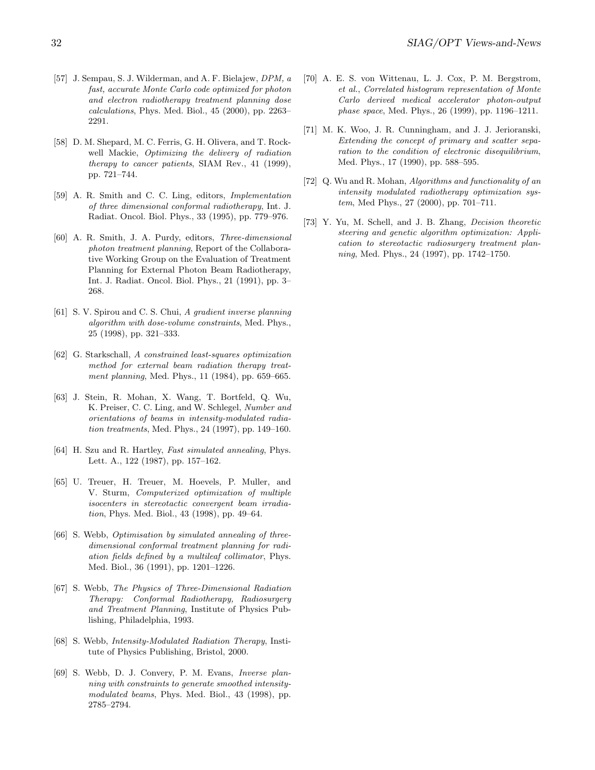- <span id="page-31-3"></span>[57] J. Sempau, S. J. Wilderman, and A. F. Bielajew, DPM, a fast, accurate Monte Carlo code optimized for photon and electron radiotherapy treatment planning dose calculations, Phys. Med. Biol., 45 (2000), pp. 2263– 2291.
- <span id="page-31-10"></span>[58] D. M. Shepard, M. C. Ferris, G. H. Olivera, and T. Rockwell Mackie, Optimizing the delivery of radiation therapy to cancer patients, SIAM Rev., 41 (1999), pp. 721–744.
- <span id="page-31-12"></span>[59] A. R. Smith and C. C. Ling, editors, Implementation of three dimensional conformal radiotherapy, Int. J. Radiat. Oncol. Biol. Phys., 33 (1995), pp. 779–976.
- <span id="page-31-11"></span>[60] A. R. Smith, J. A. Purdy, editors, Three-dimensional photon treatment planning, Report of the Collaborative Working Group on the Evaluation of Treatment Planning for External Photon Beam Radiotherapy, Int. J. Radiat. Oncol. Biol. Phys., 21 (1991), pp. 3– 268.
- <span id="page-31-5"></span>[61] S. V. Spirou and C. S. Chui, A gradient inverse planning algorithm with dose-volume constraints, Med. Phys., 25 (1998), pp. 321–333.
- <span id="page-31-9"></span>[62] G. Starkschall, A constrained least-squares optimization method for external beam radiation therapy treatment planning, Med. Phys., 11 (1984), pp. 659–665.
- [63] J. Stein, R. Mohan, X. Wang, T. Bortfeld, Q. Wu, K. Preiser, C. C. Ling, and W. Schlegel, Number and orientations of beams in intensity-modulated radiation treatments, Med. Phys., 24 (1997), pp. 149–160.
- [64] H. Szu and R. Hartley, Fast simulated annealing, Phys. Lett. A., 122 (1987), pp. 157–162.
- <span id="page-31-6"></span>[65] U. Treuer, H. Treuer, M. Hoevels, P. Muller, and V. Sturm, Computerized optimization of multiple isocenters in stereotactic convergent beam irradiation, Phys. Med. Biol., 43 (1998), pp. 49–64.
- [66] S. Webb, Optimisation by simulated annealing of threedimensional conformal treatment planning for radiation fields defined by a multileaf collimator, Phys. Med. Biol., 36 (1991), pp. 1201–1226.
- <span id="page-31-0"></span>[67] S. Webb, The Physics of Three-Dimensional Radiation Therapy: Conformal Radiotherapy, Radiosurgery and Treatment Planning, Institute of Physics Publishing, Philadelphia, 1993.
- <span id="page-31-1"></span>[68] S. Webb, *Intensity-Modulated Radiation Therapy*, Institute of Physics Publishing, Bristol, 2000.
- [69] S. Webb, D. J. Convery, P. M. Evans, Inverse planning with constraints to generate smoothed intensitymodulated beams, Phys. Med. Biol., 43 (1998), pp. 2785–2794.
- <span id="page-31-2"></span>[70] A. E. S. von Wittenau, L. J. Cox, P. M. Bergstrom, et al., Correlated histogram representation of Monte Carlo derived medical accelerator photon-output phase space, Med. Phys., 26 (1999), pp. 1196–1211.
- <span id="page-31-4"></span>[71] M. K. Woo, J. R. Cunningham, and J. J. Jerioranski, Extending the concept of primary and scatter separation to the condition of electronic disequilibrium, Med. Phys., 17 (1990), pp. 588–595.
- <span id="page-31-8"></span>[72] Q. Wu and R. Mohan, Algorithms and functionality of an intensity modulated radiotherapy optimization system, Med Phys., 27 (2000), pp. 701–711.
- <span id="page-31-7"></span>[73] Y. Yu, M. Schell, and J. B. Zhang, Decision theoretic steering and genetic algorithm optimization: Application to stereotactic radiosurgery treatment planning, Med. Phys., 24 (1997), pp. 1742–1750.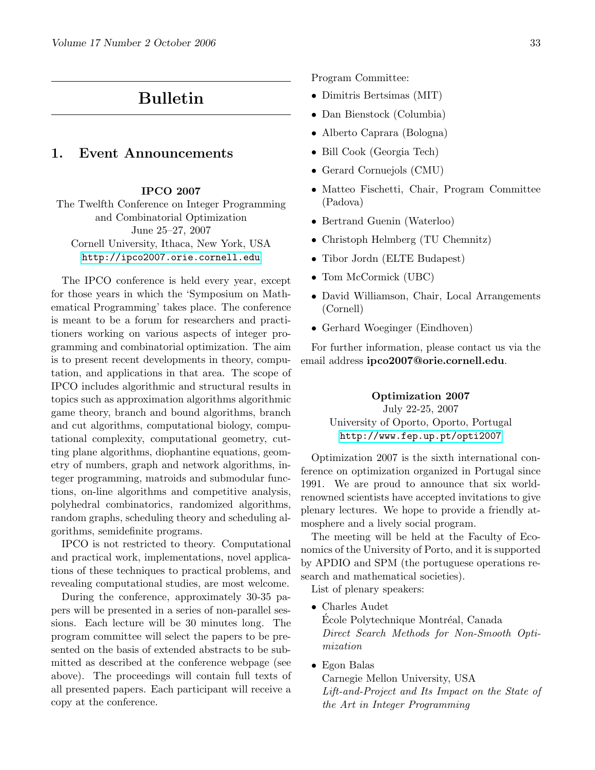# Bulletin

### <span id="page-32-0"></span>1. Event Announcements

#### IPCO 2007

The Twelfth Conference on Integer Programming and Combinatorial Optimization June 25–27, 2007 Cornell University, Ithaca, New York, USA [http://ipco2007.orie.cornell.edu](http://ipco2007.orie.cornell.edu/)

The IPCO conference is held every year, except for those years in which the 'Symposium on Mathematical Programming' takes place. The conference is meant to be a forum for researchers and practitioners working on various aspects of integer programming and combinatorial optimization. The aim is to present recent developments in theory, computation, and applications in that area. The scope of IPCO includes algorithmic and structural results in topics such as approximation algorithms algorithmic game theory, branch and bound algorithms, branch and cut algorithms, computational biology, computational complexity, computational geometry, cutting plane algorithms, diophantine equations, geometry of numbers, graph and network algorithms, integer programming, matroids and submodular functions, on-line algorithms and competitive analysis, polyhedral combinatorics, randomized algorithms, random graphs, scheduling theory and scheduling algorithms, semidefinite programs.

IPCO is not restricted to theory. Computational and practical work, implementations, novel applications of these techniques to practical problems, and revealing computational studies, are most welcome.

During the conference, approximately 30-35 papers will be presented in a series of non-parallel sessions. Each lecture will be 30 minutes long. The program committee will select the papers to be presented on the basis of extended abstracts to be submitted as described at the conference webpage (see above). The proceedings will contain full texts of all presented papers. Each participant will receive a copy at the conference.

Program Committee:

- Dimitris Bertsimas (MIT)
- Dan Bienstock (Columbia)
- Alberto Caprara (Bologna)
- Bill Cook (Georgia Tech)
- Gerard Cornuejols (CMU)
- Matteo Fischetti, Chair, Program Committee (Padova)
- Bertrand Guenin (Waterloo)
- Christoph Helmberg (TU Chemnitz)
- Tibor Jordn (ELTE Budapest)
- Tom McCormick (UBC)
- David Williamson, Chair, Local Arrangements (Cornell)
- Gerhard Woeginger (Eindhoven)

For further information, please contact us via the email address ipco2007@orie.cornell.edu.

### Optimization 2007 July 22-25, 2007 University of Oporto, Oporto, Portugal <http://www.fep.up.pt/opti2007>

Optimization 2007 is the sixth international conference on optimization organized in Portugal since 1991. We are proud to announce that six worldrenowned scientists have accepted invitations to give plenary lectures. We hope to provide a friendly atmosphere and a lively social program.

The meeting will be held at the Faculty of Economics of the University of Porto, and it is supported by APDIO and SPM (the portuguese operations research and mathematical societies).

List of plenary speakers:

- Charles Audet École Polytechnique Montréal, Canada Direct Search Methods for Non-Smooth Optimization
- Egon Balas

Carnegie Mellon University, USA Lift-and-Project and Its Impact on the State of the Art in Integer Programming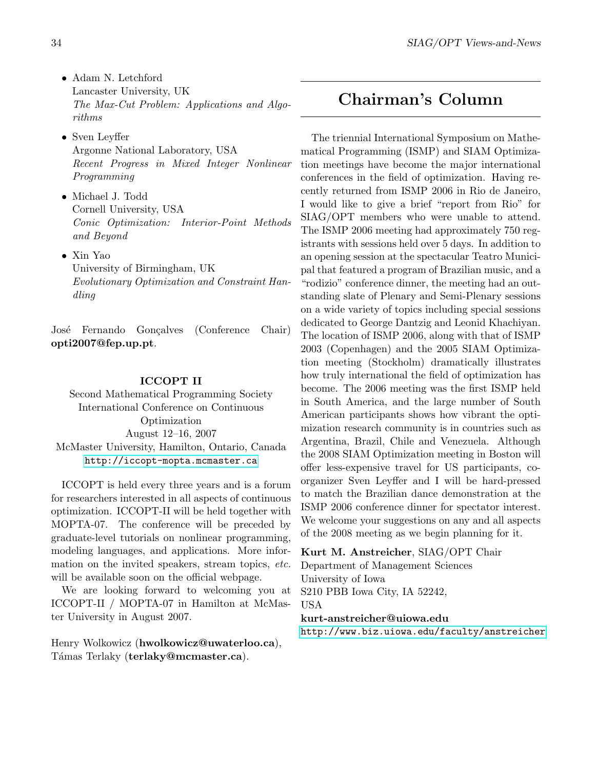- Adam N. Letchford Lancaster University, UK The Max-Cut Problem: Applications and Algorithms
- Sven Leyffer Argonne National Laboratory, USA Recent Progress in Mixed Integer Nonlinear Programming
- Michael J. Todd Cornell University, USA Conic Optimization: Interior-Point Methods and Beyond
- Xin Yao University of Birmingham, UK Evolutionary Optimization and Constraint Handling

José Fernando Gonçalves (Conference Chair) opti2007@fep.up.pt.

#### ICCOPT II

Second Mathematical Programming Society International Conference on Continuous Optimization August 12–16, 2007 McMaster University, Hamilton, Ontario, Canada <http://iccopt-mopta.mcmaster.ca>

ICCOPT is held every three years and is a forum for researchers interested in all aspects of continuous optimization. ICCOPT-II will be held together with MOPTA-07. The conference will be preceded by graduate-level tutorials on nonlinear programming, modeling languages, and applications. More information on the invited speakers, stream topics, etc. will be available soon on the official webpage.

We are looking forward to welcoming you at ICCOPT-II / MOPTA-07 in Hamilton at McMaster University in August 2007.

Henry Wolkowicz (hwolkowicz@uwaterloo.ca), Támas Terlaky (terlaky@mcmaster.ca).

# <span id="page-33-0"></span>Chairman's Column

The triennial International Symposium on Mathematical Programming (ISMP) and SIAM Optimization meetings have become the major international conferences in the field of optimization. Having recently returned from ISMP 2006 in Rio de Janeiro, I would like to give a brief "report from Rio" for SIAG/OPT members who were unable to attend. The ISMP 2006 meeting had approximately 750 registrants with sessions held over 5 days. In addition to an opening session at the spectacular Teatro Municipal that featured a program of Brazilian music, and a "rodizio" conference dinner, the meeting had an outstanding slate of Plenary and Semi-Plenary sessions on a wide variety of topics including special sessions dedicated to George Dantzig and Leonid Khachiyan. The location of ISMP 2006, along with that of ISMP 2003 (Copenhagen) and the 2005 SIAM Optimization meeting (Stockholm) dramatically illustrates how truly international the field of optimization has become. The 2006 meeting was the first ISMP held in South America, and the large number of South American participants shows how vibrant the optimization research community is in countries such as Argentina, Brazil, Chile and Venezuela. Although the 2008 SIAM Optimization meeting in Boston will offer less-expensive travel for US participants, coorganizer Sven Leyffer and I will be hard-pressed to match the Brazilian dance demonstration at the ISMP 2006 conference dinner for spectator interest. We welcome your suggestions on any and all aspects of the 2008 meeting as we begin planning for it.

Kurt M. Anstreicher, SIAG/OPT Chair

Department of Management Sciences University of Iowa S210 PBB Iowa City, IA 52242, USA kurt-anstreicher@uiowa.edu <http://www.biz.uiowa.edu/faculty/anstreicher>